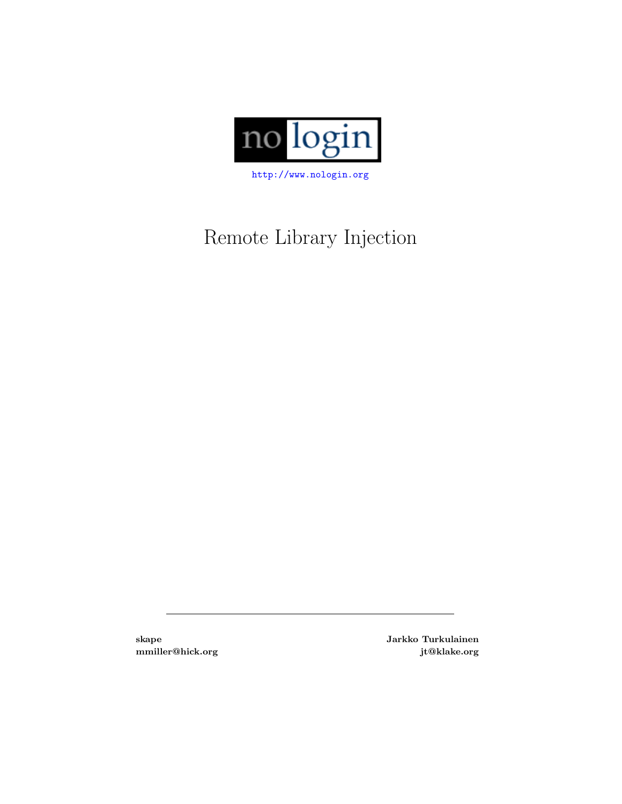

# Remote Library Injection

skape Jarkko Turkulainen mmiller@hick.org jt@klake.org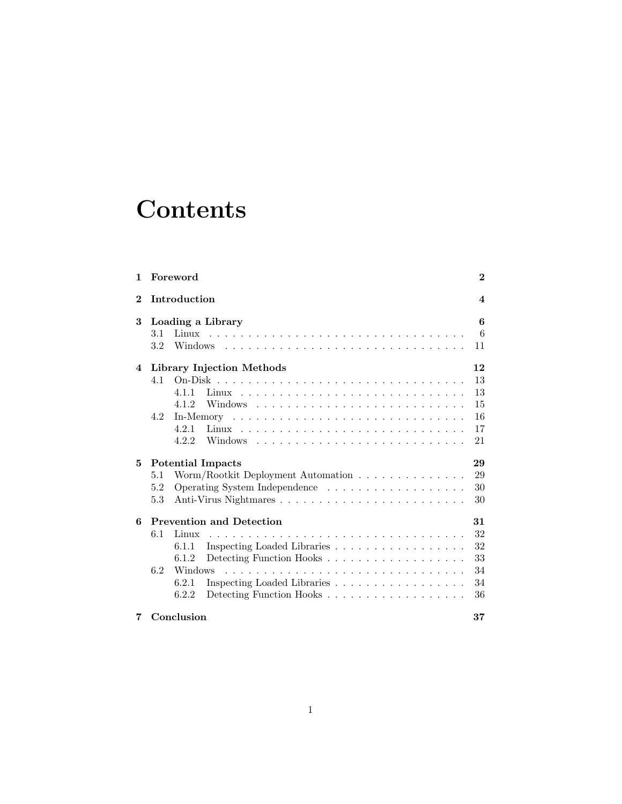# **Contents**

| 1              |                           | Foreword     |                                    | $\bf{2}$         |  |
|----------------|---------------------------|--------------|------------------------------------|------------------|--|
| $\bf{2}$       |                           | Introduction |                                    | $\boldsymbol{4}$ |  |
| 3              | 6<br>Loading a Library    |              |                                    |                  |  |
|                | 3.1                       |              |                                    | 6                |  |
|                | $3.2\,$                   |              | Windows                            | 11               |  |
| $\overline{4}$ | Library Injection Methods |              |                                    |                  |  |
|                | 4.1                       |              |                                    | 13               |  |
|                |                           | 4.1.1        |                                    | 13               |  |
|                |                           | 4.1.2        |                                    | 15               |  |
|                | 4.2                       |              |                                    | 16               |  |
|                |                           | 4.2.1        |                                    | 17               |  |
|                |                           | 4.2.2        |                                    | 21               |  |
| 5              |                           |              | <b>Potential Impacts</b>           | 29               |  |
|                | 5.1                       |              | Worm/Rootkit Deployment Automation | 29               |  |
|                | 5.2                       |              |                                    | 30               |  |
|                | 5.3                       |              |                                    | 30               |  |
| 6              |                           |              | <b>Prevention and Detection</b>    | 31               |  |
|                | 6.1                       | Linux        |                                    | 32               |  |
|                |                           | 6.1.1        | Inspecting Loaded Libraries        | 32               |  |
|                |                           | 6.1.2        | Detecting Function Hooks           | 33               |  |
|                | 6.2                       | Windows      |                                    | 34               |  |
|                |                           | 6.2.1        | Inspecting Loaded Libraries        | 34               |  |
|                |                           | 6.2.2        | Detecting Function Hooks           | 36               |  |
| 7              |                           | Conclusion   |                                    | 37               |  |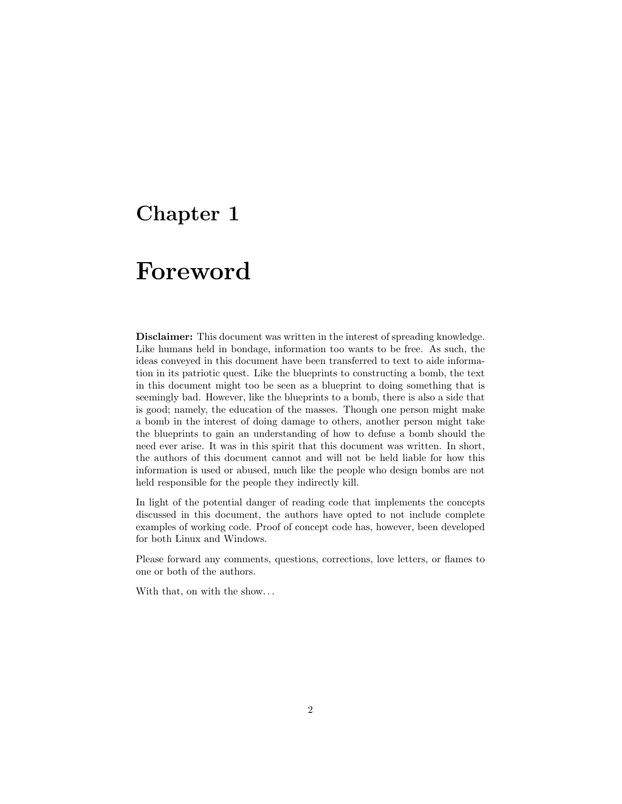## <span id="page-2-0"></span>Chapter 1

## Foreword

Disclaimer: This document was written in the interest of spreading knowledge. Like humans held in bondage, information too wants to be free. As such, the ideas conveyed in this document have been transferred to text to aide information in its patriotic quest. Like the blueprints to constructing a bomb, the text in this document might too be seen as a blueprint to doing something that is seemingly bad. However, like the blueprints to a bomb, there is also a side that is good; namely, the education of the masses. Though one person might make a bomb in the interest of doing damage to others, another person might take the blueprints to gain an understanding of how to defuse a bomb should the need ever arise. It was in this spirit that this document was written. In short, the authors of this document cannot and will not be held liable for how this information is used or abused, much like the people who design bombs are not held responsible for the people they indirectly kill.

In light of the potential danger of reading code that implements the concepts discussed in this document, the authors have opted to not include complete examples of working code. Proof of concept code has, however, been developed for both Linux and Windows.

Please forward any comments, questions, corrections, love letters, or flames to one or both of the authors.

With that, on with the show. . .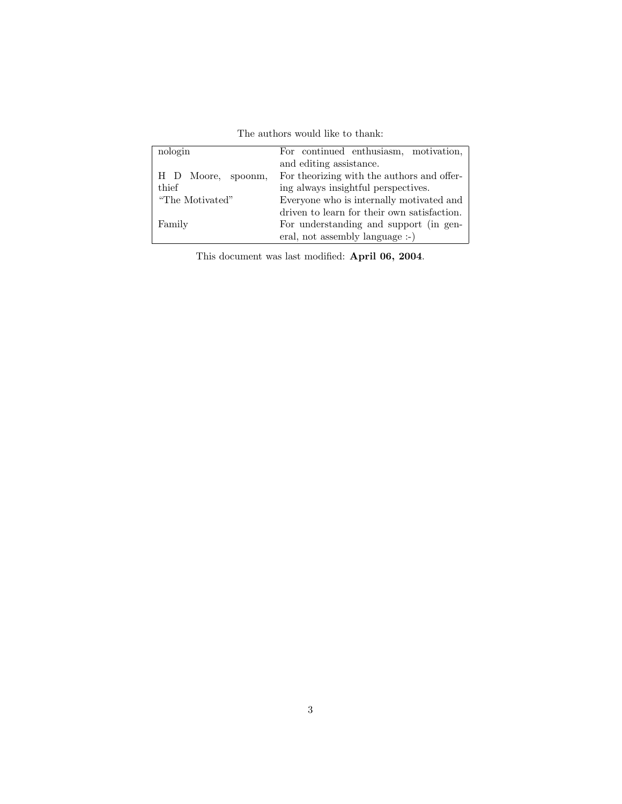The authors would like to thank:

| nologin            | For continued enthusiasm, motivation,       |
|--------------------|---------------------------------------------|
|                    | and editing assistance.                     |
| H D Moore, spoonm, | For theorizing with the authors and offer-  |
| thief              | ing always insightful perspectives.         |
| "The Motivated"    | Everyone who is internally motivated and    |
|                    | driven to learn for their own satisfaction. |
| Family             | For understanding and support (in gen-      |
|                    | eral, not assembly language :-)             |

This document was last modified: April 06, 2004.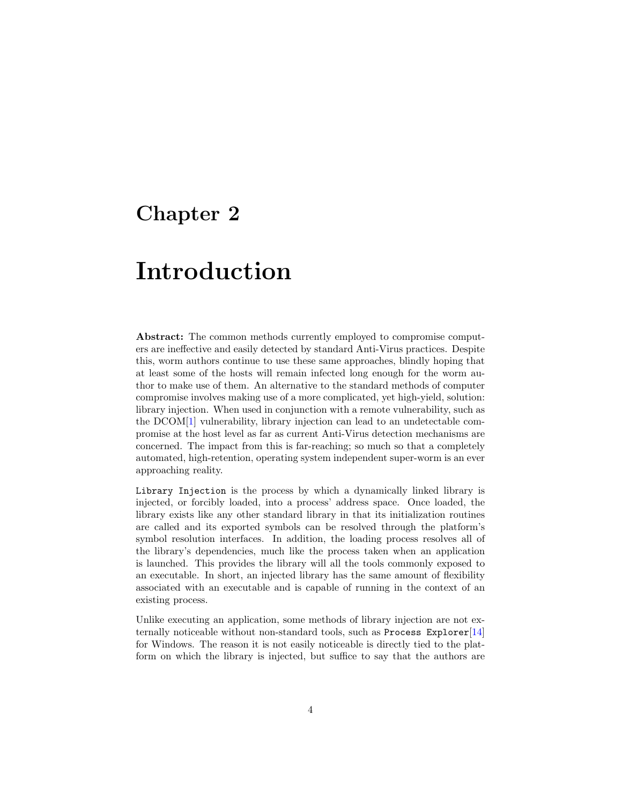## <span id="page-4-0"></span>Chapter 2

# Introduction

Abstract: The common methods currently employed to compromise computers are ineffective and easily detected by standard Anti-Virus practices. Despite this, worm authors continue to use these same approaches, blindly hoping that at least some of the hosts will remain infected long enough for the worm author to make use of them. An alternative to the standard methods of computer compromise involves making use of a more complicated, yet high-yield, solution: library injection. When used in conjunction with a remote vulnerability, such as the DCOM[\[1\]](#page-38-0) vulnerability, library injection can lead to an undetectable compromise at the host level as far as current Anti-Virus detection mechanisms are concerned. The impact from this is far-reaching; so much so that a completely automated, high-retention, operating system independent super-worm is an ever approaching reality.

Library Injection is the process by which a dynamically linked library is injected, or forcibly loaded, into a process' address space. Once loaded, the library exists like any other standard library in that its initialization routines are called and its exported symbols can be resolved through the platform's symbol resolution interfaces. In addition, the loading process resolves all of the library's dependencies, much like the process taken when an application is launched. This provides the library will all the tools commonly exposed to an executable. In short, an injected library has the same amount of flexibility associated with an executable and is capable of running in the context of an existing process.

Unlike executing an application, some methods of library injection are not externally noticeable without non-standard tools, such as Process Explorer[\[14\]](#page-39-0) for Windows. The reason it is not easily noticeable is directly tied to the platform on which the library is injected, but suffice to say that the authors are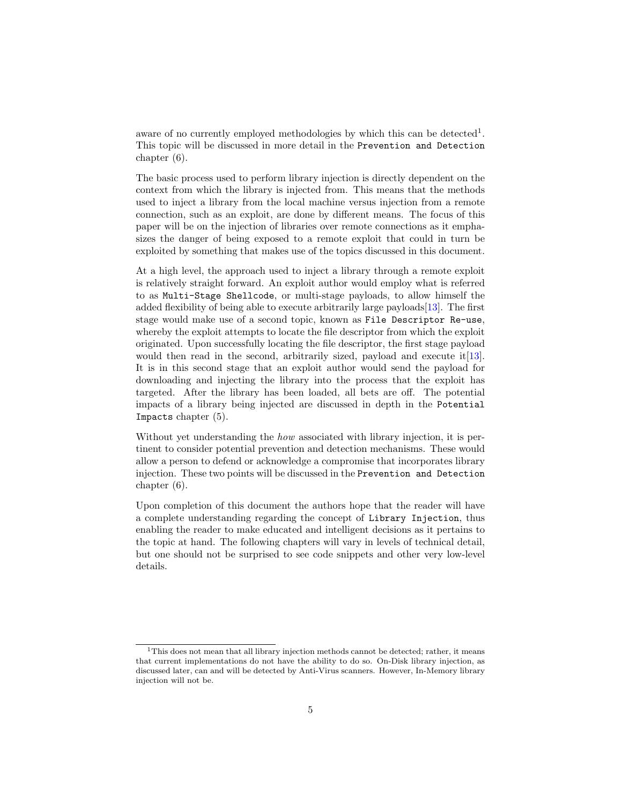aware of no currently employed methodologies by which this can be detected<sup>[1](#page-5-0)</sup>. This topic will be discussed in more detail in the Prevention and Detection chapter [\(6\)](#page-31-0).

The basic process used to perform library injection is directly dependent on the context from which the library is injected from. This means that the methods used to inject a library from the local machine versus injection from a remote connection, such as an exploit, are done by different means. The focus of this paper will be on the injection of libraries over remote connections as it emphasizes the danger of being exposed to a remote exploit that could in turn be exploited by something that makes use of the topics discussed in this document.

At a high level, the approach used to inject a library through a remote exploit is relatively straight forward. An exploit author would employ what is referred to as Multi-Stage Shellcode, or multi-stage payloads, to allow himself the added flexibility of being able to execute arbitrarily large payloads[\[13\]](#page-39-1). The first stage would make use of a second topic, known as File Descriptor Re-use, whereby the exploit attempts to locate the file descriptor from which the exploit originated. Upon successfully locating the file descriptor, the first stage payload would then read in the second, arbitrarily sized, payload and execute it[\[13\]](#page-39-1). It is in this second stage that an exploit author would send the payload for downloading and injecting the library into the process that the exploit has targeted. After the library has been loaded, all bets are off. The potential impacts of a library being injected are discussed in depth in the Potential Impacts chapter [\(5\)](#page-29-0).

Without yet understanding the *how* associated with library injection, it is pertinent to consider potential prevention and detection mechanisms. These would allow a person to defend or acknowledge a compromise that incorporates library injection. These two points will be discussed in the Prevention and Detection chapter [\(6\)](#page-31-0).

Upon completion of this document the authors hope that the reader will have a complete understanding regarding the concept of Library Injection, thus enabling the reader to make educated and intelligent decisions as it pertains to the topic at hand. The following chapters will vary in levels of technical detail, but one should not be surprised to see code snippets and other very low-level details.

<span id="page-5-0"></span><sup>&</sup>lt;sup>1</sup>This does not mean that all library injection methods cannot be detected; rather, it means that current implementations do not have the ability to do so. On-Disk library injection, as discussed later, can and will be detected by Anti-Virus scanners. However, In-Memory library injection will not be.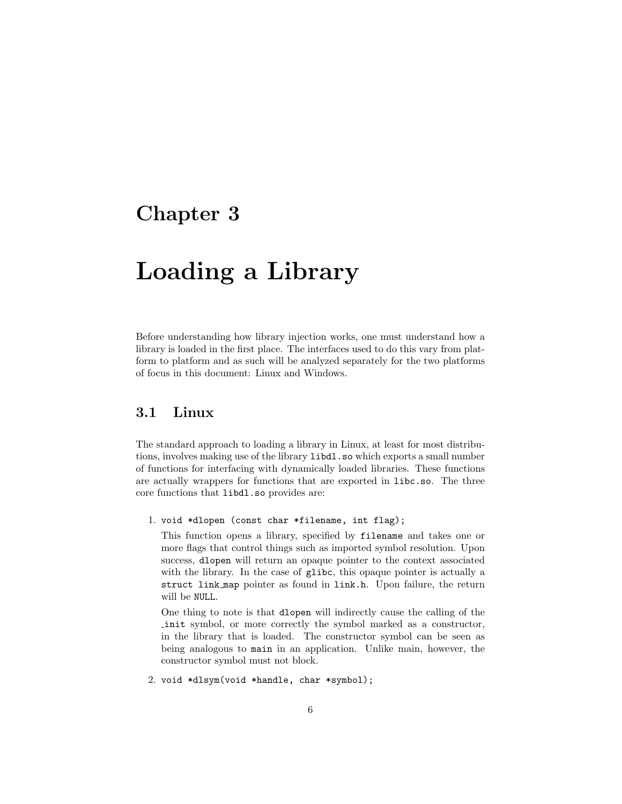## <span id="page-6-0"></span>Chapter 3

# Loading a Library

Before understanding how library injection works, one must understand how a library is loaded in the first place. The interfaces used to do this vary from platform to platform and as such will be analyzed separately for the two platforms of focus in this document: Linux and Windows.

### <span id="page-6-1"></span>3.1 Linux

The standard approach to loading a library in Linux, at least for most distributions, involves making use of the library libdl.so which exports a small number of functions for interfacing with dynamically loaded libraries. These functions are actually wrappers for functions that are exported in libc.so. The three core functions that libdl.so provides are:

1. void \*dlopen (const char \*filename, int flag);

This function opens a library, specified by filename and takes one or more flags that control things such as imported symbol resolution. Upon success, dlopen will return an opaque pointer to the context associated with the library. In the case of glibc, this opaque pointer is actually a struct link map pointer as found in link.h. Upon failure, the return will be NULL.

One thing to note is that dlopen will indirectly cause the calling of the init symbol, or more correctly the symbol marked as a constructor, in the library that is loaded. The constructor symbol can be seen as being analogous to main in an application. Unlike main, however, the constructor symbol must not block.

2. void \*dlsym(void \*handle, char \*symbol);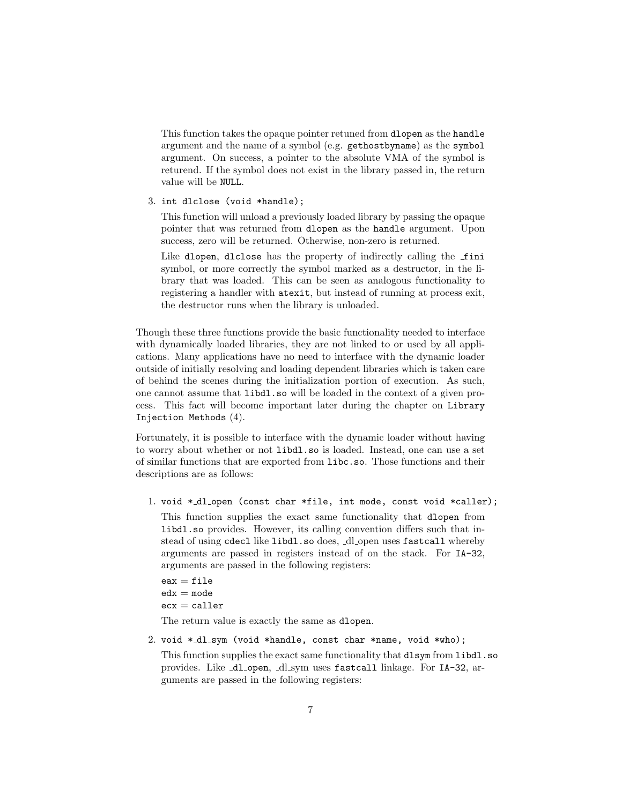This function takes the opaque pointer retuned from dlopen as the handle argument and the name of a symbol (e.g. gethostbyname) as the symbol argument. On success, a pointer to the absolute VMA of the symbol is returend. If the symbol does not exist in the library passed in, the return value will be NULL.

3. int dlclose (void \*handle);

This function will unload a previously loaded library by passing the opaque pointer that was returned from dlopen as the handle argument. Upon success, zero will be returned. Otherwise, non-zero is returned.

Like dlopen, dlclose has the property of indirectly calling the fini symbol, or more correctly the symbol marked as a destructor, in the library that was loaded. This can be seen as analogous functionality to registering a handler with atexit, but instead of running at process exit, the destructor runs when the library is unloaded.

Though these three functions provide the basic functionality needed to interface with dynamically loaded libraries, they are not linked to or used by all applications. Many applications have no need to interface with the dynamic loader outside of initially resolving and loading dependent libraries which is taken care of behind the scenes during the initialization portion of execution. As such, one cannot assume that libdl.so will be loaded in the context of a given process. This fact will become important later during the chapter on Library Injection Methods [\(4\)](#page-12-0).

Fortunately, it is possible to interface with the dynamic loader without having to worry about whether or not libdl.so is loaded. Instead, one can use a set of similar functions that are exported from libc.so. Those functions and their descriptions are as follows:

1. void \*\_dl\_open (const char \*file, int mode, const void \*caller); This function supplies the exact same functionality that dlopen from libdl.so provides. However, its calling convention differs such that instead of using cdecl like libdl.so does, \_dl\_open uses fastcall whereby arguments are passed in registers instead of on the stack. For IA-32, arguments are passed in the following registers:

 $eax = file$  $edx = mode$  $exc = caller$ 

The return value is exactly the same as dlopen.

2. void \*\_dl\_sym (void \*handle, const char \*name, void \*who);

This function supplies the exact same functionality that dlsym from libdl.so provides. Like \_dl\_open, \_dl\_sym uses fastcall linkage. For IA-32, arguments are passed in the following registers: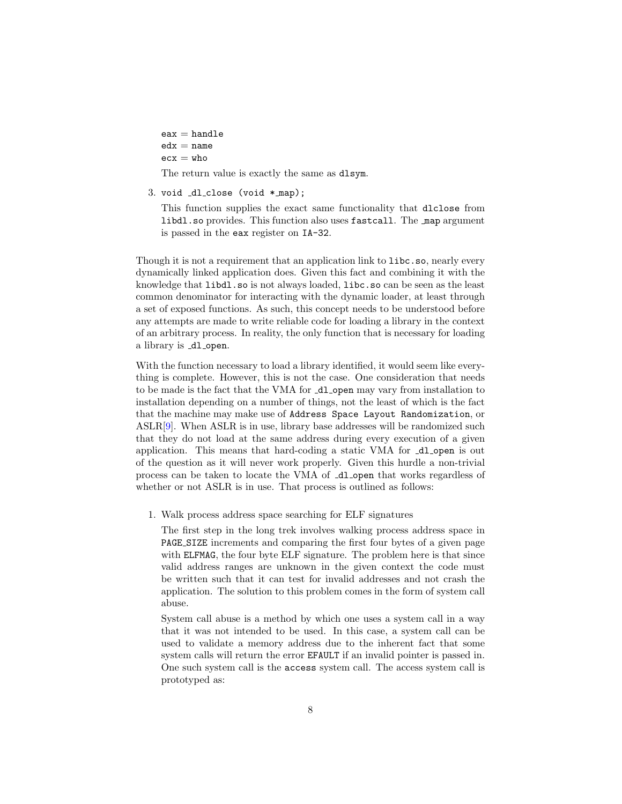- $eax = handle$  $edx = name$
- $exc = who$

The return value is exactly the same as dlsym.

3. void  $d$ -close (void  $*$ -map);

This function supplies the exact same functionality that dlclose from libdl.so provides. This function also uses fastcall. The map argument is passed in the eax register on IA-32.

Though it is not a requirement that an application link to libc.so, nearly every dynamically linked application does. Given this fact and combining it with the knowledge that libdl.so is not always loaded, libc.so can be seen as the least common denominator for interacting with the dynamic loader, at least through a set of exposed functions. As such, this concept needs to be understood before any attempts are made to write reliable code for loading a library in the context of an arbitrary process. In reality, the only function that is necessary for loading a library is \_dl\_open.

With the function necessary to load a library identified, it would seem like everything is complete. However, this is not the case. One consideration that needs to be made is the fact that the VMA for  $\text{-d}$ -open may vary from installation to installation depending on a number of things, not the least of which is the fact that the machine may make use of Address Space Layout Randomization, or ASLR[\[9\]](#page-38-1). When ASLR is in use, library base addresses will be randomized such that they do not load at the same address during every execution of a given application. This means that hard-coding a static VMA for \_dl\_open is out of the question as it will never work properly. Given this hurdle a non-trivial process can be taken to locate the VMA of \_dl\_open that works regardless of whether or not ASLR is in use. That process is outlined as follows:

1. Walk process address space searching for ELF signatures

The first step in the long trek involves walking process address space in PAGE SIZE increments and comparing the first four bytes of a given page with ELFMAG, the four byte ELF signature. The problem here is that since valid address ranges are unknown in the given context the code must be written such that it can test for invalid addresses and not crash the application. The solution to this problem comes in the form of system call abuse.

System call abuse is a method by which one uses a system call in a way that it was not intended to be used. In this case, a system call can be used to validate a memory address due to the inherent fact that some system calls will return the error EFAULT if an invalid pointer is passed in. One such system call is the access system call. The access system call is prototyped as: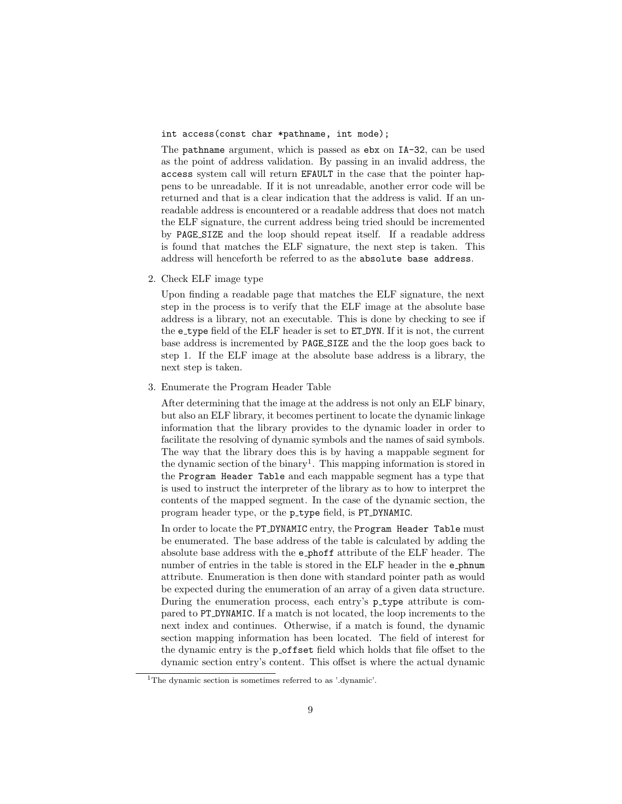int access(const char \*pathname, int mode);

The pathname argument, which is passed as ebx on IA-32, can be used as the point of address validation. By passing in an invalid address, the access system call will return EFAULT in the case that the pointer happens to be unreadable. If it is not unreadable, another error code will be returned and that is a clear indication that the address is valid. If an unreadable address is encountered or a readable address that does not match the ELF signature, the current address being tried should be incremented by PAGE SIZE and the loop should repeat itself. If a readable address is found that matches the ELF signature, the next step is taken. This address will henceforth be referred to as the absolute base address.

2. Check ELF image type

Upon finding a readable page that matches the ELF signature, the next step in the process is to verify that the ELF image at the absolute base address is a library, not an executable. This is done by checking to see if the e type field of the ELF header is set to ET DYN. If it is not, the current base address is incremented by PAGE SIZE and the the loop goes back to step 1. If the ELF image at the absolute base address is a library, the next step is taken.

3. Enumerate the Program Header Table

After determining that the image at the address is not only an ELF binary, but also an ELF library, it becomes pertinent to locate the dynamic linkage information that the library provides to the dynamic loader in order to facilitate the resolving of dynamic symbols and the names of said symbols. The way that the library does this is by having a mappable segment for the dynamic section of the binary<sup>[1](#page-9-0)</sup>. This mapping information is stored in the Program Header Table and each mappable segment has a type that is used to instruct the interpreter of the library as to how to interpret the contents of the mapped segment. In the case of the dynamic section, the program header type, or the p\_type field, is PT\_DYNAMIC.

In order to locate the PT DYNAMIC entry, the Program Header Table must be enumerated. The base address of the table is calculated by adding the absolute base address with the e phoff attribute of the ELF header. The number of entries in the table is stored in the ELF header in the e phnum attribute. Enumeration is then done with standard pointer path as would be expected during the enumeration of an array of a given data structure. During the enumeration process, each entry's p\_type attribute is compared to PT DYNAMIC. If a match is not located, the loop increments to the next index and continues. Otherwise, if a match is found, the dynamic section mapping information has been located. The field of interest for the dynamic entry is the position field which holds that file offset to the dynamic section entry's content. This offset is where the actual dynamic

<span id="page-9-0"></span><sup>&</sup>lt;sup>1</sup>The dynamic section is sometimes referred to as '.dynamic'.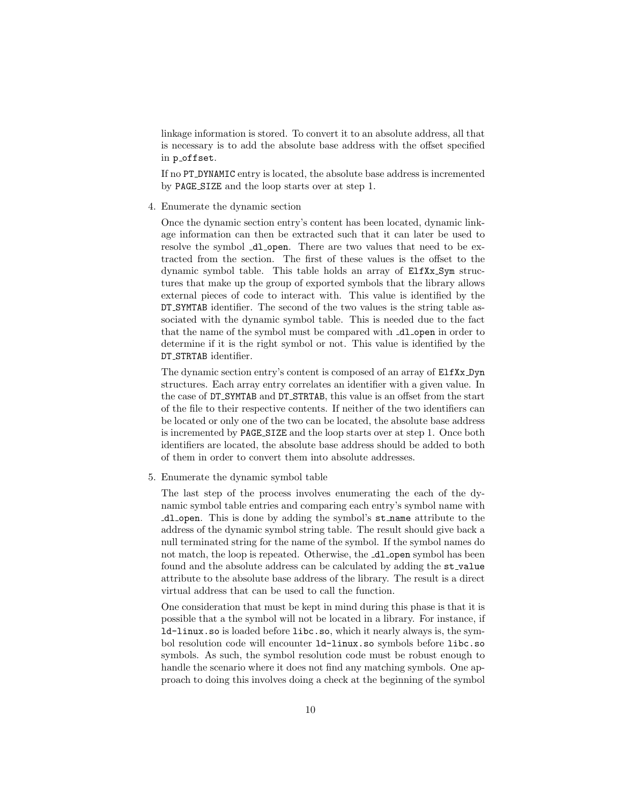linkage information is stored. To convert it to an absolute address, all that is necessary is to add the absolute base address with the offset specified in p\_offset.

If no PT DYNAMIC entry is located, the absolute base address is incremented by PAGE SIZE and the loop starts over at step 1.

4. Enumerate the dynamic section

Once the dynamic section entry's content has been located, dynamic linkage information can then be extracted such that it can later be used to resolve the symbol  $\Delta$ l open. There are two values that need to be extracted from the section. The first of these values is the offset to the dynamic symbol table. This table holds an array of ElfXx Sym structures that make up the group of exported symbols that the library allows external pieces of code to interact with. This value is identified by the DT SYMTAB identifier. The second of the two values is the string table associated with the dynamic symbol table. This is needed due to the fact that the name of the symbol must be compared with  $\Delta$ l open in order to determine if it is the right symbol or not. This value is identified by the DT STRTAB identifier.

The dynamic section entry's content is composed of an array of ElfXx Dyn structures. Each array entry correlates an identifier with a given value. In the case of DT SYMTAB and DT STRTAB, this value is an offset from the start of the file to their respective contents. If neither of the two identifiers can be located or only one of the two can be located, the absolute base address is incremented by PAGE SIZE and the loop starts over at step 1. Once both identifiers are located, the absolute base address should be added to both of them in order to convert them into absolute addresses.

5. Enumerate the dynamic symbol table

The last step of the process involves enumerating the each of the dynamic symbol table entries and comparing each entry's symbol name with dl open. This is done by adding the symbol's st name attribute to the address of the dynamic symbol string table. The result should give back a null terminated string for the name of the symbol. If the symbol names do not match, the loop is repeated. Otherwise, the  $\Delta$ -open symbol has been found and the absolute address can be calculated by adding the st\_value attribute to the absolute base address of the library. The result is a direct virtual address that can be used to call the function.

One consideration that must be kept in mind during this phase is that it is possible that a the symbol will not be located in a library. For instance, if ld-linux.so is loaded before libc.so, which it nearly always is, the symbol resolution code will encounter ld-linux.so symbols before libc.so symbols. As such, the symbol resolution code must be robust enough to handle the scenario where it does not find any matching symbols. One approach to doing this involves doing a check at the beginning of the symbol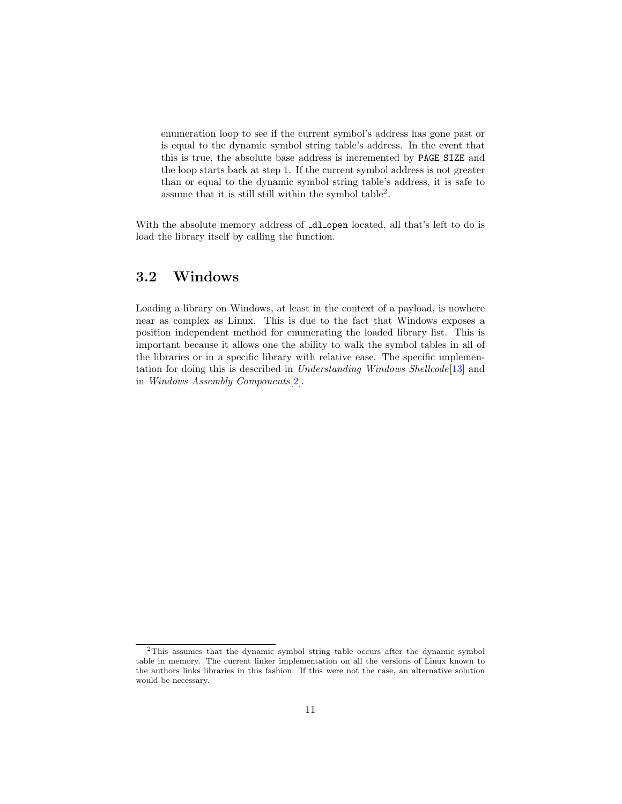enumeration loop to see if the current symbol's address has gone past or is equal to the dynamic symbol string table's address. In the event that this is true, the absolute base address is incremented by PAGE SIZE and the loop starts back at step 1. If the current symbol address is not greater than or equal to the dynamic symbol string table's address, it is safe to assume that it is still still within the symbol table<sup>[2](#page-11-1)</sup>.

With the absolute memory address of  $\Box$ d open located, all that's left to do is load the library itself by calling the function.

### <span id="page-11-0"></span>3.2 Windows

Loading a library on Windows, at least in the context of a payload, is nowhere near as complex as Linux. This is due to the fact that Windows exposes a position independent method for enumerating the loaded library list. This is important because it allows one the ability to walk the symbol tables in all of the libraries or in a specific library with relative ease. The specific implementation for doing this is described in Understanding Windows Shellcode[\[13\]](#page-39-1) and in Windows Assembly Components[\[2\]](#page-38-2).

<span id="page-11-1"></span><sup>2</sup>This assumes that the dynamic symbol string table occurs after the dynamic symbol table in memory. The current linker implementation on all the versions of Linux known to the authors links libraries in this fashion. If this were not the case, an alternative solution would be necessary.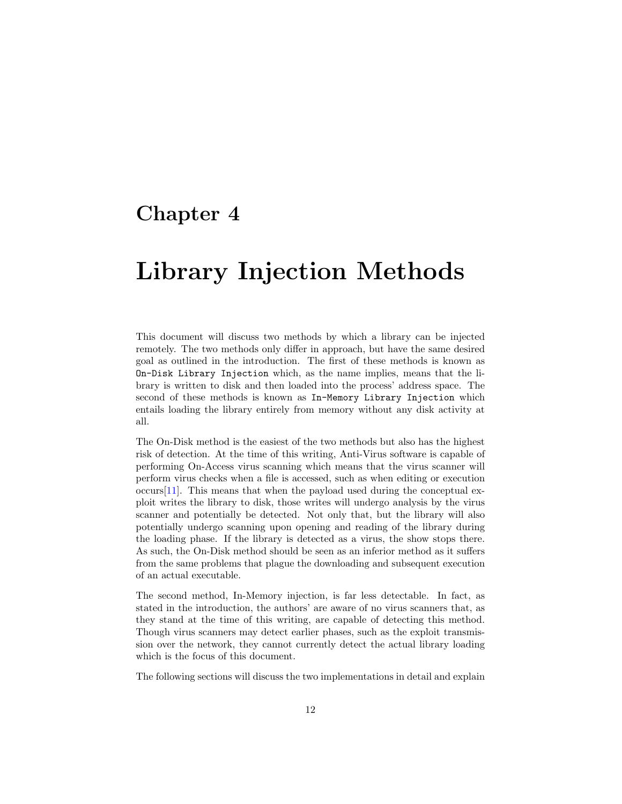## <span id="page-12-0"></span>Chapter 4

# Library Injection Methods

This document will discuss two methods by which a library can be injected remotely. The two methods only differ in approach, but have the same desired goal as outlined in the introduction. The first of these methods is known as On-Disk Library Injection which, as the name implies, means that the library is written to disk and then loaded into the process' address space. The second of these methods is known as In-Memory Library Injection which entails loading the library entirely from memory without any disk activity at all.

The On-Disk method is the easiest of the two methods but also has the highest risk of detection. At the time of this writing, Anti-Virus software is capable of performing On-Access virus scanning which means that the virus scanner will perform virus checks when a file is accessed, such as when editing or execution  $occurs[11]$  $occurs[11]$ . This means that when the payload used during the conceptual exploit writes the library to disk, those writes will undergo analysis by the virus scanner and potentially be detected. Not only that, but the library will also potentially undergo scanning upon opening and reading of the library during the loading phase. If the library is detected as a virus, the show stops there. As such, the On-Disk method should be seen as an inferior method as it suffers from the same problems that plague the downloading and subsequent execution of an actual executable.

The second method, In-Memory injection, is far less detectable. In fact, as stated in the introduction, the authors' are aware of no virus scanners that, as they stand at the time of this writing, are capable of detecting this method. Though virus scanners may detect earlier phases, such as the exploit transmission over the network, they cannot currently detect the actual library loading which is the focus of this document.

The following sections will discuss the two implementations in detail and explain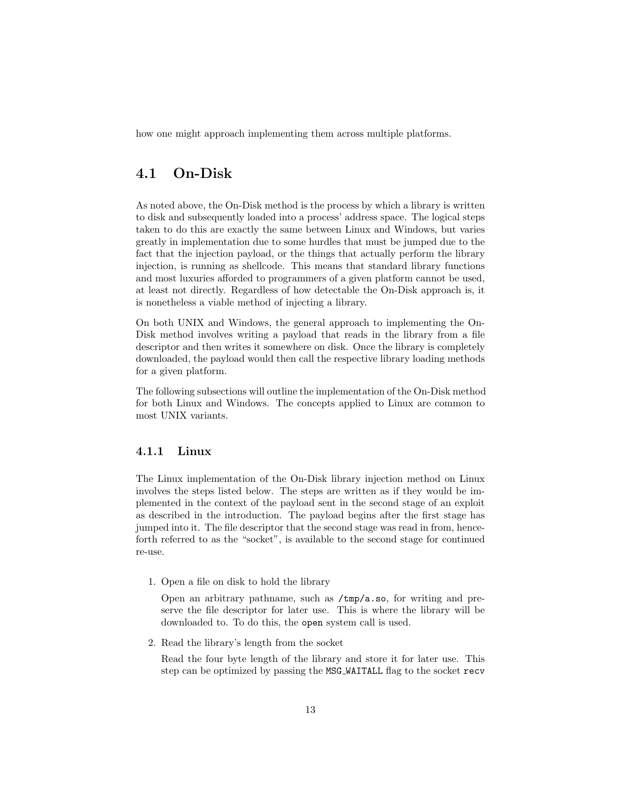how one might approach implementing them across multiple platforms.

### <span id="page-13-0"></span>4.1 On-Disk

As noted above, the On-Disk method is the process by which a library is written to disk and subsequently loaded into a process' address space. The logical steps taken to do this are exactly the same between Linux and Windows, but varies greatly in implementation due to some hurdles that must be jumped due to the fact that the injection payload, or the things that actually perform the library injection, is running as shellcode. This means that standard library functions and most luxuries afforded to programmers of a given platform cannot be used, at least not directly. Regardless of how detectable the On-Disk approach is, it is nonetheless a viable method of injecting a library.

On both UNIX and Windows, the general approach to implementing the On-Disk method involves writing a payload that reads in the library from a file descriptor and then writes it somewhere on disk. Once the library is completely downloaded, the payload would then call the respective library loading methods for a given platform.

The following subsections will outline the implementation of the On-Disk method for both Linux and Windows. The concepts applied to Linux are common to most UNIX variants.

#### <span id="page-13-1"></span>4.1.1 Linux

The Linux implementation of the On-Disk library injection method on Linux involves the steps listed below. The steps are written as if they would be implemented in the context of the payload sent in the second stage of an exploit as described in the introduction. The payload begins after the first stage has jumped into it. The file descriptor that the second stage was read in from, henceforth referred to as the "socket", is available to the second stage for continued re-use.

1. Open a file on disk to hold the library

Open an arbitrary pathname, such as /tmp/a.so, for writing and preserve the file descriptor for later use. This is where the library will be downloaded to. To do this, the open system call is used.

2. Read the library's length from the socket

Read the four byte length of the library and store it for later use. This step can be optimized by passing the MSG WAITALL flag to the socket recv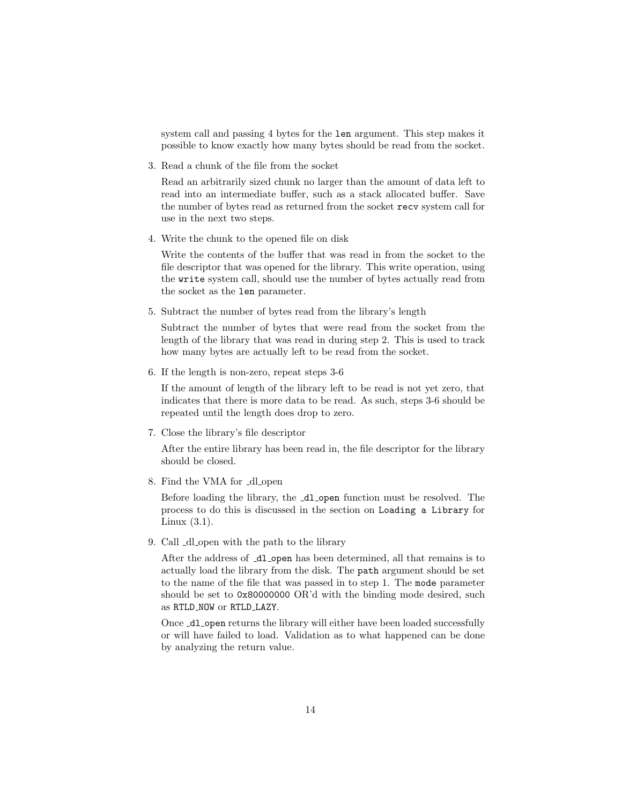system call and passing 4 bytes for the len argument. This step makes it possible to know exactly how many bytes should be read from the socket.

3. Read a chunk of the file from the socket

Read an arbitrarily sized chunk no larger than the amount of data left to read into an intermediate buffer, such as a stack allocated buffer. Save the number of bytes read as returned from the socket recv system call for use in the next two steps.

4. Write the chunk to the opened file on disk

Write the contents of the buffer that was read in from the socket to the file descriptor that was opened for the library. This write operation, using the write system call, should use the number of bytes actually read from the socket as the len parameter.

5. Subtract the number of bytes read from the library's length

Subtract the number of bytes that were read from the socket from the length of the library that was read in during step 2. This is used to track how many bytes are actually left to be read from the socket.

6. If the length is non-zero, repeat steps 3-6

If the amount of length of the library left to be read is not yet zero, that indicates that there is more data to be read. As such, steps 3-6 should be repeated until the length does drop to zero.

7. Close the library's file descriptor

After the entire library has been read in, the file descriptor for the library should be closed.

8. Find the VMA for  $\Delta l$ -open

Before loading the library, the  $-d$ **l** open function must be resolved. The process to do this is discussed in the section on Loading a Library for Linux  $(3.1)$ .

9. Call  $\Delta$ -dl open with the path to the library

After the address of  $\text{d}l$  open has been determined, all that remains is to actually load the library from the disk. The path argument should be set to the name of the file that was passed in to step 1. The mode parameter should be set to 0x80000000 OR'd with the binding mode desired, such as RTLD NOW or RTLD LAZY.

Once  $\text{\_dl\_open}$  returns the library will either have been loaded successfully or will have failed to load. Validation as to what happened can be done by analyzing the return value.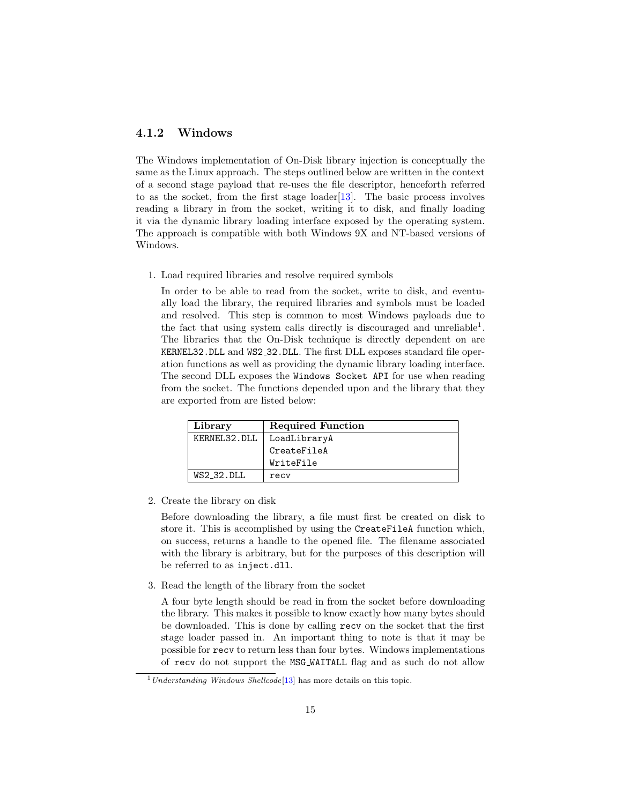### <span id="page-15-0"></span>4.1.2 Windows

The Windows implementation of On-Disk library injection is conceptually the same as the Linux approach. The steps outlined below are written in the context of a second stage payload that re-uses the file descriptor, henceforth referred to as the socket, from the first stage loader[\[13\]](#page-39-1). The basic process involves reading a library in from the socket, writing it to disk, and finally loading it via the dynamic library loading interface exposed by the operating system. The approach is compatible with both Windows 9X and NT-based versions of Windows.

1. Load required libraries and resolve required symbols

In order to be able to read from the socket, write to disk, and eventually load the library, the required libraries and symbols must be loaded and resolved. This step is common to most Windows payloads due to the fact that using system calls directly is discouraged and unreliable<sup>[1](#page-15-1)</sup>. The libraries that the On-Disk technique is directly dependent on are KERNEL32.DLL and WS2 32.DLL. The first DLL exposes standard file operation functions as well as providing the dynamic library loading interface. The second DLL exposes the Windows Socket API for use when reading from the socket. The functions depended upon and the library that they are exported from are listed below:

| Library      | <b>Required Function</b> |
|--------------|--------------------------|
| KERNEL32.DLL | LoadLibraryA             |
|              | CreateFileA              |
|              | WriteFile                |
| $WS2_32.DLL$ | recy                     |

2. Create the library on disk

Before downloading the library, a file must first be created on disk to store it. This is accomplished by using the CreateFileA function which, on success, returns a handle to the opened file. The filename associated with the library is arbitrary, but for the purposes of this description will be referred to as inject.dll.

3. Read the length of the library from the socket

A four byte length should be read in from the socket before downloading the library. This makes it possible to know exactly how many bytes should be downloaded. This is done by calling recv on the socket that the first stage loader passed in. An important thing to note is that it may be possible for recv to return less than four bytes. Windows implementations of recv do not support the MSG WAITALL flag and as such do not allow

<span id="page-15-1"></span> $1$  Understanding Windows Shellcode<sup>[\[13\]](#page-39-1)</sup> has more details on this topic.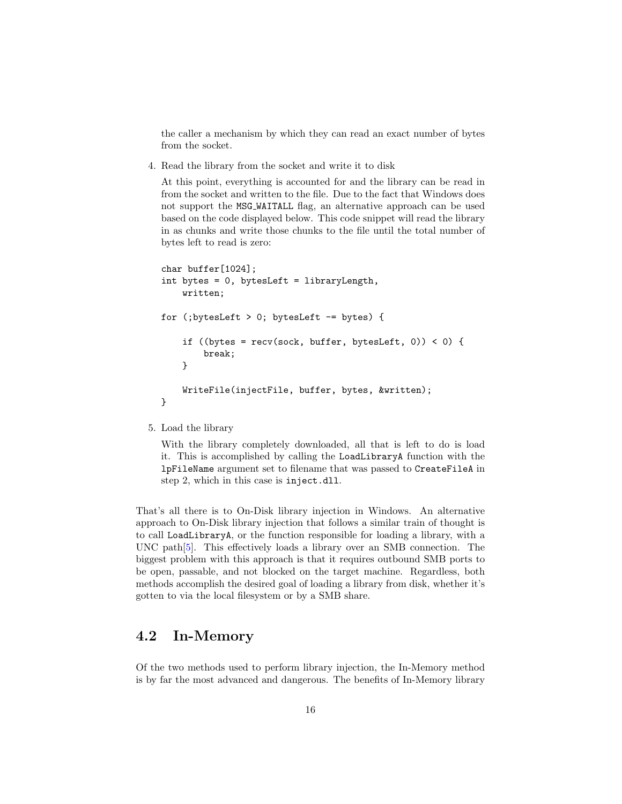the caller a mechanism by which they can read an exact number of bytes from the socket.

4. Read the library from the socket and write it to disk

At this point, everything is accounted for and the library can be read in from the socket and written to the file. Due to the fact that Windows does not support the MSG WAITALL flag, an alternative approach can be used based on the code displayed below. This code snippet will read the library in as chunks and write those chunks to the file until the total number of bytes left to read is zero:

```
char buffer[1024];
int bytes = 0, bytesLeft = libraryLength,
    written;
for (;bytesLeft > 0; bytesLeft -= bytes) {
    if ((bytes = recv(sock, buffer, bytesLeft, 0)) < 0) {
        break;
    }
    WriteFile(injectFile, buffer, bytes, &written);
}
```
#### 5. Load the library

With the library completely downloaded, all that is left to do is load it. This is accomplished by calling the LoadLibraryA function with the lpFileName argument set to filename that was passed to CreateFileA in step 2, which in this case is inject.dll.

That's all there is to On-Disk library injection in Windows. An alternative approach to On-Disk library injection that follows a similar train of thought is to call LoadLibraryA, or the function responsible for loading a library, with a UNC path[\[5\]](#page-38-3). This effectively loads a library over an SMB connection. The biggest problem with this approach is that it requires outbound SMB ports to be open, passable, and not blocked on the target machine. Regardless, both methods accomplish the desired goal of loading a library from disk, whether it's gotten to via the local filesystem or by a SMB share.

### <span id="page-16-0"></span>4.2 In-Memory

Of the two methods used to perform library injection, the In-Memory method is by far the most advanced and dangerous. The benefits of In-Memory library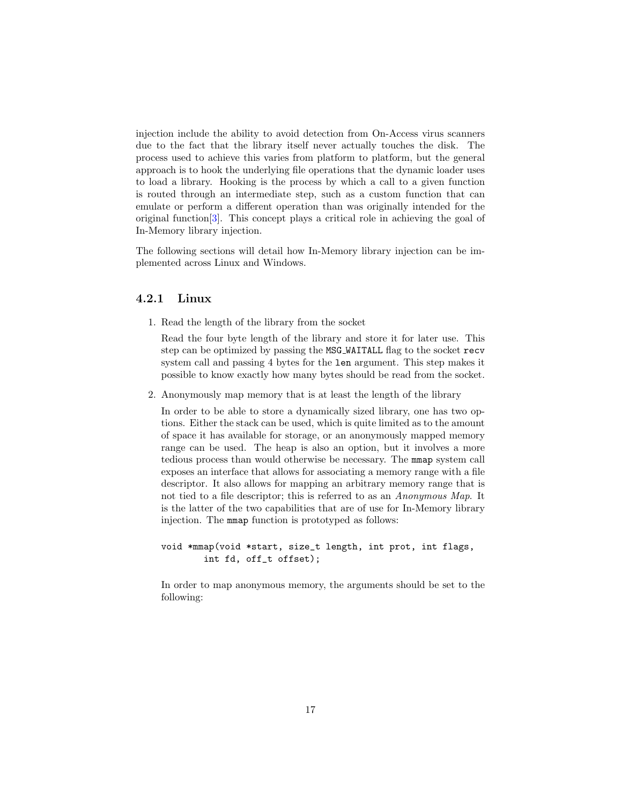injection include the ability to avoid detection from On-Access virus scanners due to the fact that the library itself never actually touches the disk. The process used to achieve this varies from platform to platform, but the general approach is to hook the underlying file operations that the dynamic loader uses to load a library. Hooking is the process by which a call to a given function is routed through an intermediate step, such as a custom function that can emulate or perform a different operation than was originally intended for the original function[\[3\]](#page-38-4). This concept plays a critical role in achieving the goal of In-Memory library injection.

The following sections will detail how In-Memory library injection can be implemented across Linux and Windows.

#### <span id="page-17-0"></span>4.2.1 Linux

1. Read the length of the library from the socket

Read the four byte length of the library and store it for later use. This step can be optimized by passing the MSG WAITALL flag to the socket recv system call and passing 4 bytes for the len argument. This step makes it possible to know exactly how many bytes should be read from the socket.

2. Anonymously map memory that is at least the length of the library

In order to be able to store a dynamically sized library, one has two options. Either the stack can be used, which is quite limited as to the amount of space it has available for storage, or an anonymously mapped memory range can be used. The heap is also an option, but it involves a more tedious process than would otherwise be necessary. The mmap system call exposes an interface that allows for associating a memory range with a file descriptor. It also allows for mapping an arbitrary memory range that is not tied to a file descriptor; this is referred to as an Anonymous Map. It is the latter of the two capabilities that are of use for In-Memory library injection. The mmap function is prototyped as follows:

```
void *mmap(void *start, size_t length, int prot, int flags,
        int fd, off_t offset);
```
In order to map anonymous memory, the arguments should be set to the following: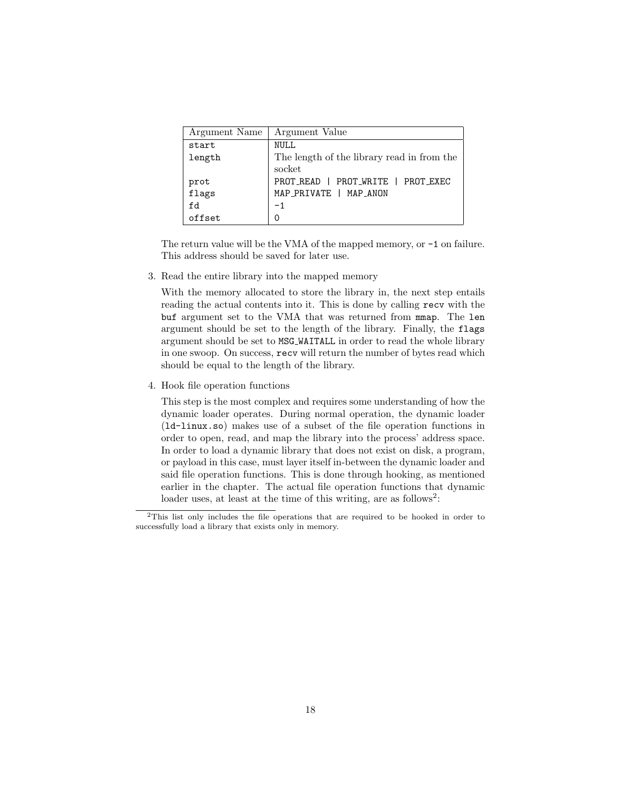| Argument Name | Argument Value                             |  |
|---------------|--------------------------------------------|--|
| start         | <b>NULL</b>                                |  |
| length        | The length of the library read in from the |  |
|               | socket                                     |  |
| prot          | PROT_READ   PROT_WRITE   PROT_EXEC         |  |
| .<br>flags    | MAP_PRIVATE   MAP_ANON                     |  |
| fd            | $-1$                                       |  |
| offset        | 0                                          |  |

The return value will be the VMA of the mapped memory, or -1 on failure. This address should be saved for later use.

3. Read the entire library into the mapped memory

With the memory allocated to store the library in, the next step entails reading the actual contents into it. This is done by calling recv with the buf argument set to the VMA that was returned from mmap. The len argument should be set to the length of the library. Finally, the flags argument should be set to MSG WAITALL in order to read the whole library in one swoop. On success, recv will return the number of bytes read which should be equal to the length of the library.

4. Hook file operation functions

This step is the most complex and requires some understanding of how the dynamic loader operates. During normal operation, the dynamic loader (ld-linux.so) makes use of a subset of the file operation functions in order to open, read, and map the library into the process' address space. In order to load a dynamic library that does not exist on disk, a program, or payload in this case, must layer itself in-between the dynamic loader and said file operation functions. This is done through hooking, as mentioned earlier in the chapter. The actual file operation functions that dynamic loader uses, at least at the time of this writing, are as follows<sup>[2](#page-18-0)</sup>:

<span id="page-18-0"></span><sup>2</sup>This list only includes the file operations that are required to be hooked in order to successfully load a library that exists only in memory.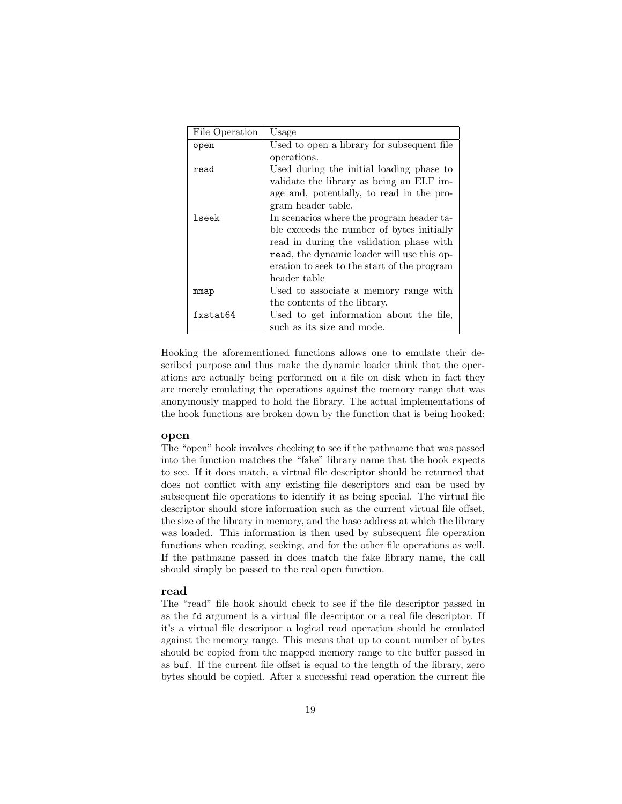| File Operation | Usage                                       |
|----------------|---------------------------------------------|
| open           | Used to open a library for subsequent file  |
|                | operations.                                 |
| read           | Used during the initial loading phase to    |
|                | validate the library as being an ELF im-    |
|                | age and, potentially, to read in the pro-   |
|                | gram header table.                          |
| lseek          | In scenarios where the program header ta-   |
|                | ble exceeds the number of bytes initially   |
|                | read in during the validation phase with    |
|                | read, the dynamic loader will use this op-  |
|                | eration to seek to the start of the program |
|                | header table                                |
| mmap           | Used to associate a memory range with       |
|                | the contents of the library.                |
| fxstat64       | Used to get information about the file,     |
|                | such as its size and mode.                  |

Hooking the aforementioned functions allows one to emulate their described purpose and thus make the dynamic loader think that the operations are actually being performed on a file on disk when in fact they are merely emulating the operations against the memory range that was anonymously mapped to hold the library. The actual implementations of the hook functions are broken down by the function that is being hooked:

#### open

The "open" hook involves checking to see if the pathname that was passed into the function matches the "fake" library name that the hook expects to see. If it does match, a virtual file descriptor should be returned that does not conflict with any existing file descriptors and can be used by subsequent file operations to identify it as being special. The virtual file descriptor should store information such as the current virtual file offset, the size of the library in memory, and the base address at which the library was loaded. This information is then used by subsequent file operation functions when reading, seeking, and for the other file operations as well. If the pathname passed in does match the fake library name, the call should simply be passed to the real open function.

#### read

The "read" file hook should check to see if the file descriptor passed in as the fd argument is a virtual file descriptor or a real file descriptor. If it's a virtual file descriptor a logical read operation should be emulated against the memory range. This means that up to count number of bytes should be copied from the mapped memory range to the buffer passed in as buf. If the current file offset is equal to the length of the library, zero bytes should be copied. After a successful read operation the current file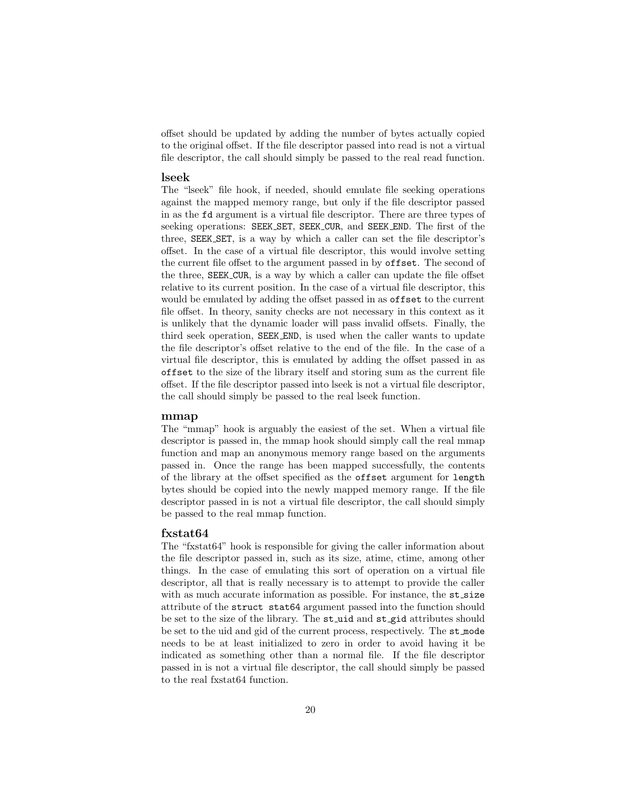offset should be updated by adding the number of bytes actually copied to the original offset. If the file descriptor passed into read is not a virtual file descriptor, the call should simply be passed to the real read function.

#### lseek

The "lseek" file hook, if needed, should emulate file seeking operations against the mapped memory range, but only if the file descriptor passed in as the fd argument is a virtual file descriptor. There are three types of seeking operations: SEEK SET, SEEK CUR, and SEEK END. The first of the three, SEEK SET, is a way by which a caller can set the file descriptor's offset. In the case of a virtual file descriptor, this would involve setting the current file offset to the argument passed in by offset. The second of the three, SEEK CUR, is a way by which a caller can update the file offset relative to its current position. In the case of a virtual file descriptor, this would be emulated by adding the offset passed in as offset to the current file offset. In theory, sanity checks are not necessary in this context as it is unlikely that the dynamic loader will pass invalid offsets. Finally, the third seek operation, SEEK END, is used when the caller wants to update the file descriptor's offset relative to the end of the file. In the case of a virtual file descriptor, this is emulated by adding the offset passed in as offset to the size of the library itself and storing sum as the current file offset. If the file descriptor passed into lseek is not a virtual file descriptor, the call should simply be passed to the real lseek function.

#### mmap

The "mmap" hook is arguably the easiest of the set. When a virtual file descriptor is passed in, the mmap hook should simply call the real mmap function and map an anonymous memory range based on the arguments passed in. Once the range has been mapped successfully, the contents of the library at the offset specified as the offset argument for length bytes should be copied into the newly mapped memory range. If the file descriptor passed in is not a virtual file descriptor, the call should simply be passed to the real mmap function.

#### fxstat64

The "fxstat64" hook is responsible for giving the caller information about the file descriptor passed in, such as its size, atime, ctime, among other things. In the case of emulating this sort of operation on a virtual file descriptor, all that is really necessary is to attempt to provide the caller with as much accurate information as possible. For instance, the st\_size attribute of the struct stat64 argument passed into the function should be set to the size of the library. The st\_uid and st\_gid attributes should be set to the uid and gid of the current process, respectively. The st mode needs to be at least initialized to zero in order to avoid having it be indicated as something other than a normal file. If the file descriptor passed in is not a virtual file descriptor, the call should simply be passed to the real fxstat64 function.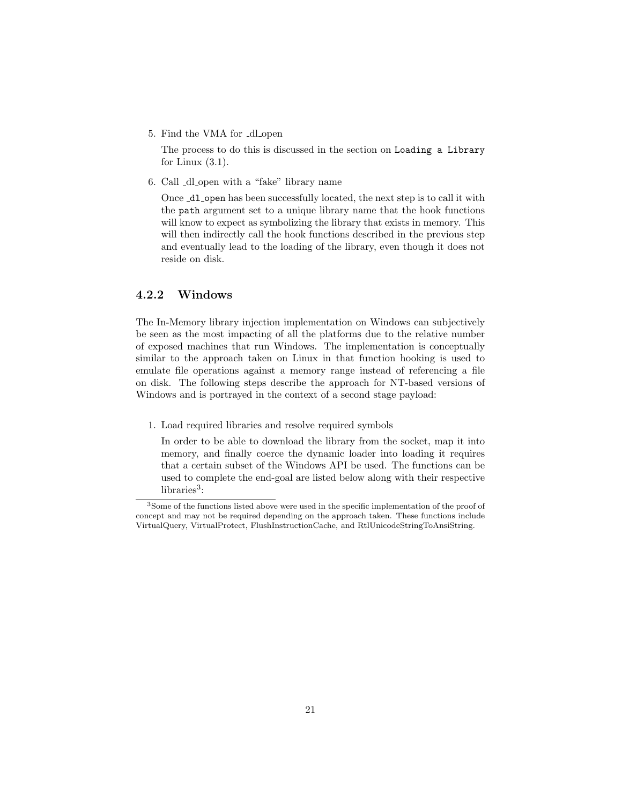5. Find the VMA for \_dl\_open

The process to do this is discussed in the section on Loading a Library for Linux  $(3.1)$ .

6. Call dl open with a "fake" library name

Once  $\text{d}1$  open has been successfully located, the next step is to call it with the path argument set to a unique library name that the hook functions will know to expect as symbolizing the library that exists in memory. This will then indirectly call the hook functions described in the previous step and eventually lead to the loading of the library, even though it does not reside on disk.

#### <span id="page-21-0"></span>4.2.2 Windows

The In-Memory library injection implementation on Windows can subjectively be seen as the most impacting of all the platforms due to the relative number of exposed machines that run Windows. The implementation is conceptually similar to the approach taken on Linux in that function hooking is used to emulate file operations against a memory range instead of referencing a file on disk. The following steps describe the approach for NT-based versions of Windows and is portrayed in the context of a second stage payload:

1. Load required libraries and resolve required symbols

In order to be able to download the library from the socket, map it into memory, and finally coerce the dynamic loader into loading it requires that a certain subset of the Windows API be used. The functions can be used to complete the end-goal are listed below along with their respective  $\text{libraries}^3$  $\text{libraries}^3$ :

<span id="page-21-1"></span><sup>3</sup>Some of the functions listed above were used in the specific implementation of the proof of concept and may not be required depending on the approach taken. These functions include VirtualQuery, VirtualProtect, FlushInstructionCache, and RtlUnicodeStringToAnsiString.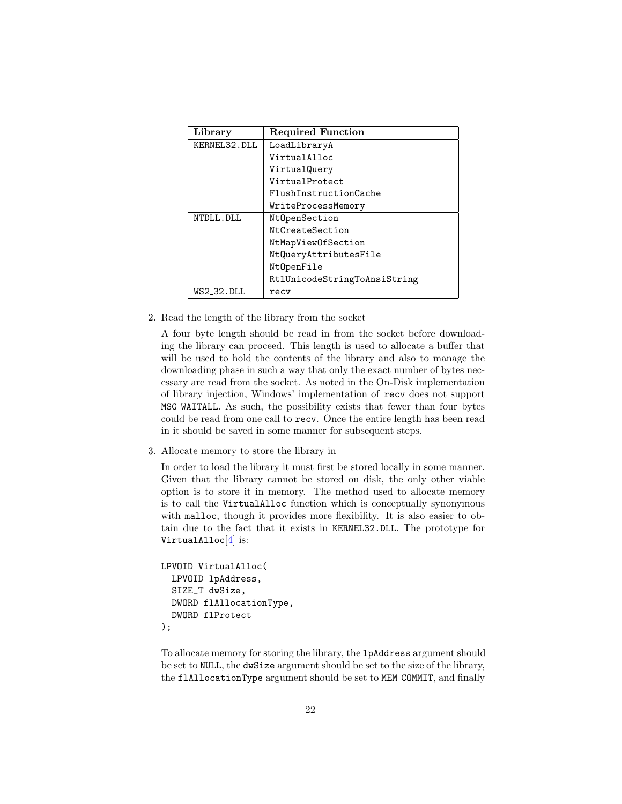| Library      | <b>Required Function</b>     |
|--------------|------------------------------|
| KERNEL32.DLL | LoadLibraryA                 |
|              | VirtualAlloc                 |
|              | VirtualQuery                 |
|              | VirtualProtect               |
|              | FlushInstructionCache        |
|              | WriteProcessMemory           |
| NTDLL.DLL    | NtOpenSection                |
|              | NtCreateSection              |
|              | NtMapViewOfSection           |
|              | NtQueryAttributesFile        |
|              | NtOpenFile                   |
|              | RtlUnicodeStringToAnsiString |
| WS2_32.DLL   | recy                         |

2. Read the length of the library from the socket

A four byte length should be read in from the socket before downloading the library can proceed. This length is used to allocate a buffer that will be used to hold the contents of the library and also to manage the downloading phase in such a way that only the exact number of bytes necessary are read from the socket. As noted in the On-Disk implementation of library injection, Windows' implementation of recv does not support MSG WAITALL. As such, the possibility exists that fewer than four bytes could be read from one call to recv. Once the entire length has been read in it should be saved in some manner for subsequent steps.

3. Allocate memory to store the library in

In order to load the library it must first be stored locally in some manner. Given that the library cannot be stored on disk, the only other viable option is to store it in memory. The method used to allocate memory is to call the VirtualAlloc function which is conceptually synonymous with malloc, though it provides more flexibility. It is also easier to obtain due to the fact that it exists in KERNEL32.DLL. The prototype for VirtualAlloc<sup>[\[4\]](#page-38-5)</sup> is:

```
LPVOID VirtualAlloc(
  LPVOID lpAddress,
  SIZE_T dwSize,
  DWORD flAllocationType,
  DWORD flProtect
);
```
To allocate memory for storing the library, the lpAddress argument should be set to NULL, the dwSize argument should be set to the size of the library, the flAllocationType argument should be set to MEM COMMIT, and finally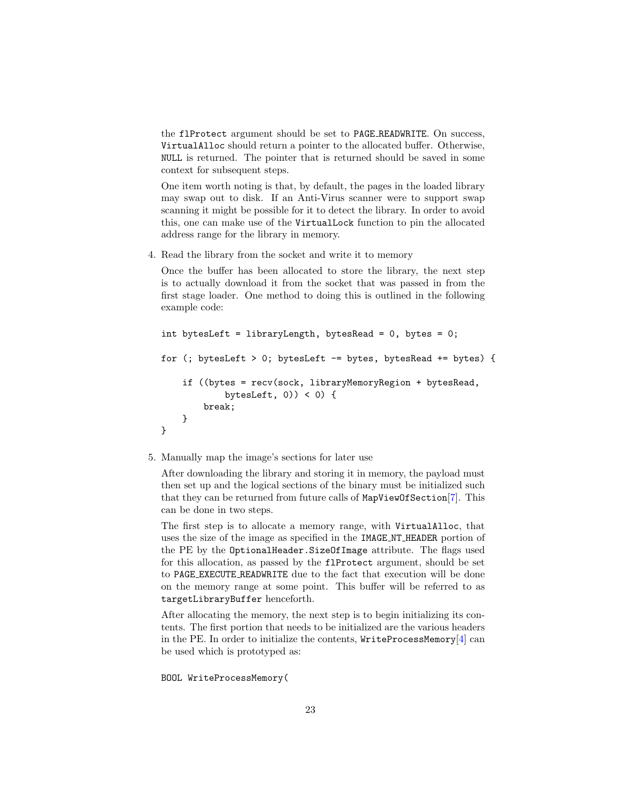the flProtect argument should be set to PAGE READWRITE. On success, VirtualAlloc should return a pointer to the allocated buffer. Otherwise, NULL is returned. The pointer that is returned should be saved in some context for subsequent steps.

One item worth noting is that, by default, the pages in the loaded library may swap out to disk. If an Anti-Virus scanner were to support swap scanning it might be possible for it to detect the library. In order to avoid this, one can make use of the VirtualLock function to pin the allocated address range for the library in memory.

4. Read the library from the socket and write it to memory

Once the buffer has been allocated to store the library, the next step is to actually download it from the socket that was passed in from the first stage loader. One method to doing this is outlined in the following example code:

```
int bytesLeft = libraryLength, bytesRead = 0, bytes = 0;
for (; bytesLeft > 0; bytesLeft -= bytes, bytesRead += bytes) {
    if ((bytes = recv(sock, libraryMemoryRegion + bytesRead,
            bytesLeft, 0) ( 0) (break;
    }
}
```
#### 5. Manually map the image's sections for later use

After downloading the library and storing it in memory, the payload must then set up and the logical sections of the binary must be initialized such that they can be returned from future calls of MapViewOfSection[\[7\]](#page-38-6). This can be done in two steps.

The first step is to allocate a memory range, with VirtualAlloc, that uses the size of the image as specified in the IMAGE NT HEADER portion of the PE by the OptionalHeader.SizeOfImage attribute. The flags used for this allocation, as passed by the flProtect argument, should be set to PAGE EXECUTE READWRITE due to the fact that execution will be done on the memory range at some point. This buffer will be referred to as targetLibraryBuffer henceforth.

After allocating the memory, the next step is to begin initializing its contents. The first portion that needs to be initialized are the various headers in the PE. In order to initialize the contents,  $WriteProcessMemory[4]$  $WriteProcessMemory[4]$  can be used which is prototyped as:

#### BOOL WriteProcessMemory(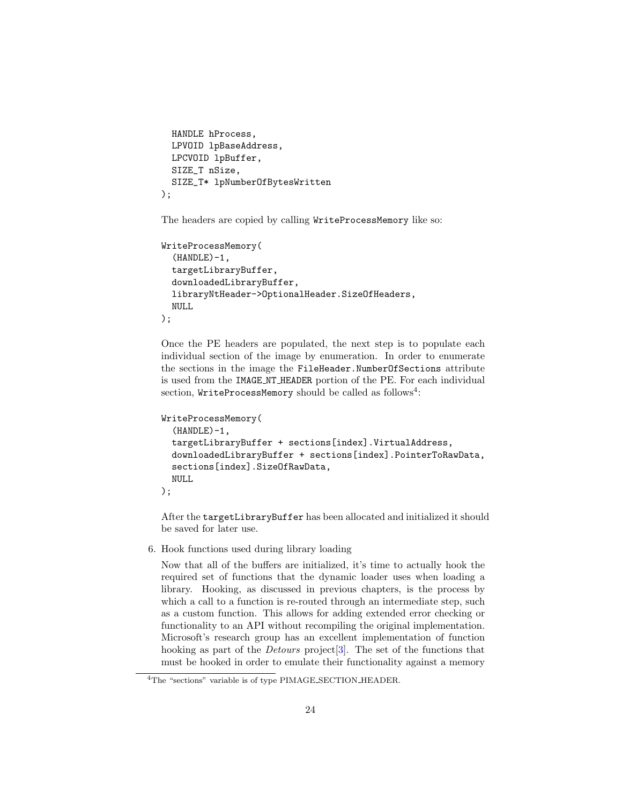```
HANDLE hProcess,
  LPVOID lpBaseAddress,
  LPCVOID lpBuffer,
  SIZE_T nSize,
  SIZE_T* lpNumberOfBytesWritten
);
```
The headers are copied by calling WriteProcessMemory like so:

```
WriteProcessMemory(
  (HANDLE)-1,
  targetLibraryBuffer,
  downloadedLibraryBuffer,
  libraryNtHeader->OptionalHeader.SizeOfHeaders,
  NULL
);
```
Once the PE headers are populated, the next step is to populate each individual section of the image by enumeration. In order to enumerate the sections in the image the FileHeader.NumberOfSections attribute is used from the IMAGE NT HEADER portion of the PE. For each individual  $\rm{section}, \emph{WriteProcessMemory}$  should be called as follows $^4$  $^4$ :

```
WriteProcessMemory(
  (HANDLE)-1,targetLibraryBuffer + sections[index].VirtualAddress,
  downloadedLibraryBuffer + sections[index].PointerToRawData,
  sections[index].SizeOfRawData,
  NULL
);
```
After the targetLibraryBuffer has been allocated and initialized it should be saved for later use.

6. Hook functions used during library loading

Now that all of the buffers are initialized, it's time to actually hook the required set of functions that the dynamic loader uses when loading a library. Hooking, as discussed in previous chapters, is the process by which a call to a function is re-routed through an intermediate step, such as a custom function. This allows for adding extended error checking or functionality to an API without recompiling the original implementation. Microsoft's research group has an excellent implementation of function hooking as part of the Detours project[\[3\]](#page-38-4). The set of the functions that must be hooked in order to emulate their functionality against a memory

<span id="page-24-0"></span><sup>&</sup>lt;sup>4</sup>The "sections" variable is of type PIMAGE\_SECTION\_HEADER.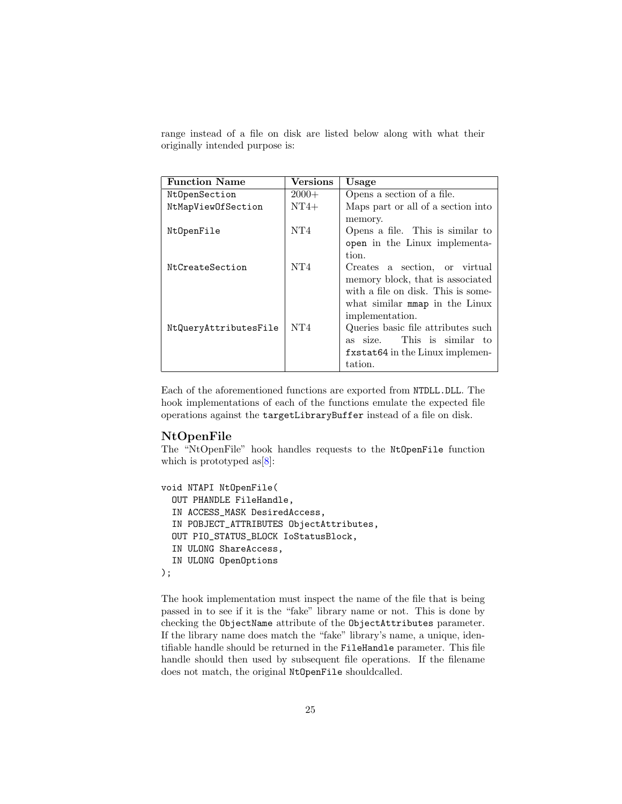range instead of a file on disk are listed below along with what their originally intended purpose is:

| <b>Function Name</b>  | <b>Versions</b> | Usage                              |
|-----------------------|-----------------|------------------------------------|
| NtOpenSection         | $2000+$         | Opens a section of a file.         |
| NtMapViewOfSection    | $NT4+$          | Maps part or all of a section into |
|                       |                 | memory.                            |
| NtOpenFile            | NT4             | Opens a file. This is similar to   |
|                       |                 | open in the Linux implementa-      |
|                       |                 | tion.                              |
| NtCreateSection       | NT4             | Creates a section, or virtual      |
|                       |                 | memory block, that is associated   |
|                       |                 | with a file on disk. This is some- |
|                       |                 | what similar moment in the Linux   |
|                       |                 | implementation.                    |
| NtQueryAttributesFile | NT4             | Queries basic file attributes such |
|                       |                 | This is similar to<br>as size.     |
|                       |                 | fxstat64 in the Linux implemen-    |
|                       |                 | tation.                            |

Each of the aforementioned functions are exported from NTDLL.DLL. The hook implementations of each of the functions emulate the expected file operations against the targetLibraryBuffer instead of a file on disk.

#### NtOpenFile

The "NtOpenFile" hook handles requests to the NtOpenFile function which is prototyped as  $[8]$ :

```
void NTAPI NtOpenFile(
  OUT PHANDLE FileHandle,
  IN ACCESS_MASK DesiredAccess,
  IN POBJECT_ATTRIBUTES ObjectAttributes,
  OUT PIO_STATUS_BLOCK IoStatusBlock,
  IN ULONG ShareAccess,
  IN ULONG OpenOptions
);
```
The hook implementation must inspect the name of the file that is being passed in to see if it is the "fake" library name or not. This is done by checking the ObjectName attribute of the ObjectAttributes parameter. If the library name does match the "fake" library's name, a unique, identifiable handle should be returned in the FileHandle parameter. This file handle should then used by subsequent file operations. If the filename does not match, the original NtOpenFile shouldcalled.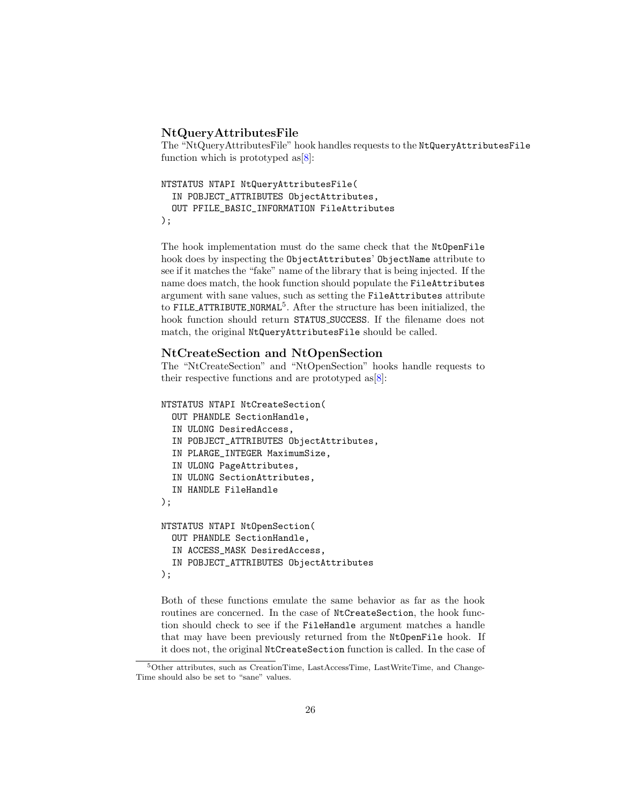#### NtQueryAttributesFile

The "NtQueryAttributesFile" hook handles requests to the NtQueryAttributesFile function which is prototyped as  $[8]$ :

```
NTSTATUS NTAPI NtQueryAttributesFile(
  IN POBJECT_ATTRIBUTES ObjectAttributes,
  OUT PFILE_BASIC_INFORMATION FileAttributes
);
```
The hook implementation must do the same check that the NtOpenFile hook does by inspecting the ObjectAttributes' ObjectName attribute to see if it matches the "fake" name of the library that is being injected. If the name does match, the hook function should populate the FileAttributes argument with sane values, such as setting the FileAttributes attribute to FILE\_ATTRIBUTE\_NORMAL<sup>[5](#page-26-0)</sup>. After the structure has been initialized, the hook function should return STATUS SUCCESS. If the filename does not match, the original NtQueryAttributesFile should be called.

#### NtCreateSection and NtOpenSection

The "NtCreateSection" and "NtOpenSection" hooks handle requests to their respective functions and are prototyped as  $[8]$ :

```
NTSTATUS NTAPI NtCreateSection(
  OUT PHANDLE SectionHandle,
  IN ULONG DesiredAccess,
  IN POBJECT_ATTRIBUTES ObjectAttributes,
  IN PLARGE_INTEGER MaximumSize,
  IN ULONG PageAttributes,
  IN ULONG SectionAttributes,
  IN HANDLE FileHandle
);
NTSTATUS NTAPI NtOpenSection(
  OUT PHANDLE SectionHandle,
  IN ACCESS_MASK DesiredAccess,
  IN POBJECT_ATTRIBUTES ObjectAttributes
);
```
Both of these functions emulate the same behavior as far as the hook routines are concerned. In the case of NtCreateSection, the hook function should check to see if the FileHandle argument matches a handle that may have been previously returned from the NtOpenFile hook. If it does not, the original NtCreateSection function is called. In the case of

<span id="page-26-0"></span><sup>5</sup>Other attributes, such as CreationTime, LastAccessTime, LastWriteTime, and Change-Time should also be set to "sane" values.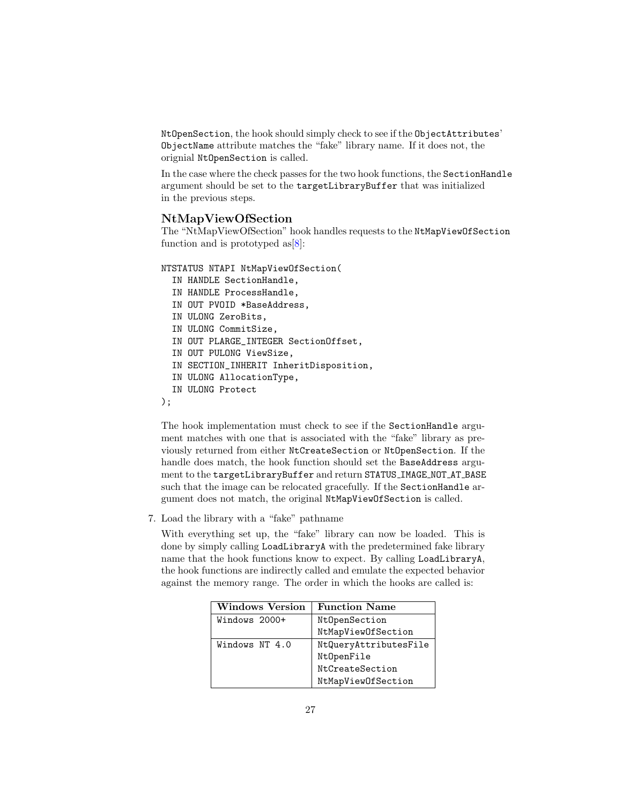NtOpenSection, the hook should simply check to see if the ObjectAttributes' ObjectName attribute matches the "fake" library name. If it does not, the orignial NtOpenSection is called.

In the case where the check passes for the two hook functions, the SectionHandle argument should be set to the targetLibraryBuffer that was initialized in the previous steps.

#### NtMapViewOfSection

The "NtMapViewOfSection" hook handles requests to the NtMapViewOfSection function and is prototyped as  $[8]$ :

NTSTATUS NTAPI NtMapViewOfSection(

- IN HANDLE SectionHandle,
- IN HANDLE ProcessHandle,
- IN OUT PVOID \*BaseAddress,
- IN ULONG ZeroBits,
- IN ULONG CommitSize,
- IN OUT PLARGE\_INTEGER SectionOffset,
- IN OUT PULONG ViewSize,
- IN SECTION\_INHERIT InheritDisposition,
- IN ULONG AllocationType,
- IN ULONG Protect
- );

The hook implementation must check to see if the SectionHandle argument matches with one that is associated with the "fake" library as previously returned from either NtCreateSection or NtOpenSection. If the handle does match, the hook function should set the BaseAddress argument to the targetLibraryBuffer and return STATUS IMAGE NOT AT BASE such that the image can be relocated gracefully. If the SectionHandle argument does not match, the original NtMapViewOfSection is called.

7. Load the library with a "fake" pathname

With everything set up, the "fake" library can now be loaded. This is done by simply calling LoadLibraryA with the predetermined fake library name that the hook functions know to expect. By calling LoadLibraryA, the hook functions are indirectly called and emulate the expected behavior against the memory range. The order in which the hooks are called is:

| Windows Version | <b>Function Name</b>  |
|-----------------|-----------------------|
| Windows 2000+   | NtOpenSection         |
|                 | NtMapViewOfSection    |
| Windows NT 4.0  | NtQueryAttributesFile |
|                 | NtOpenFile            |
|                 | NtCreateSection       |
|                 | NtMapViewOfSection    |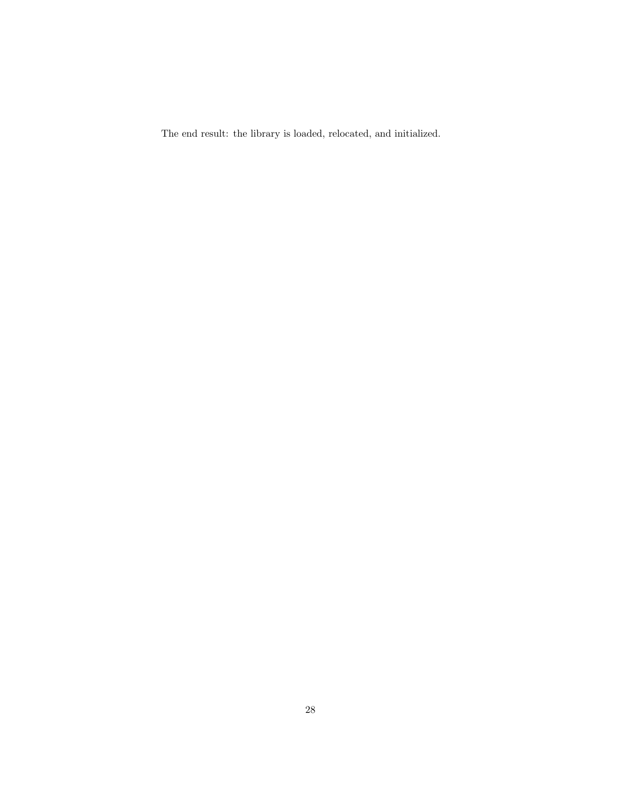The end result: the library is loaded, relocated, and initialized.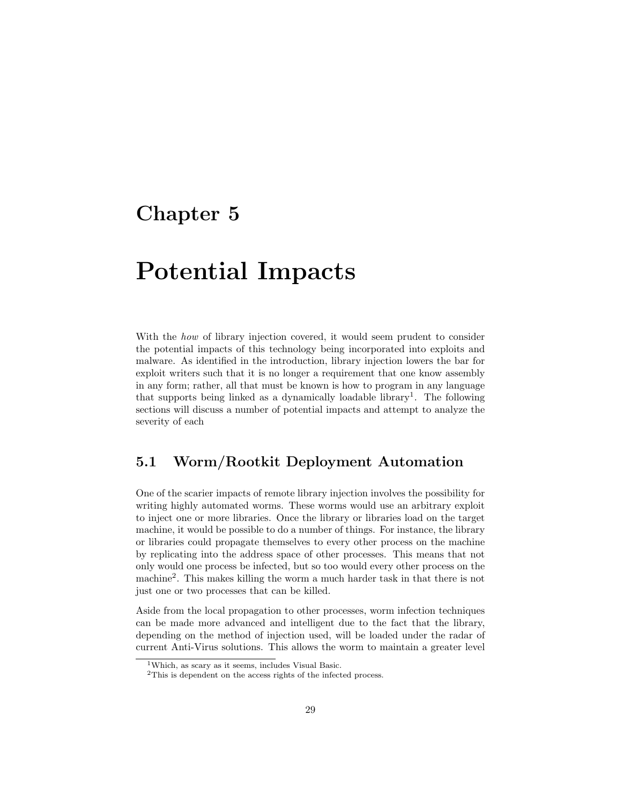## <span id="page-29-0"></span>Chapter 5

# Potential Impacts

With the *how* of library injection covered, it would seem prudent to consider the potential impacts of this technology being incorporated into exploits and malware. As identified in the introduction, library injection lowers the bar for exploit writers such that it is no longer a requirement that one know assembly in any form; rather, all that must be known is how to program in any language that supports being linked as a dynamically loadable library<sup>[1](#page-29-2)</sup>. The following sections will discuss a number of potential impacts and attempt to analyze the severity of each

### <span id="page-29-1"></span>5.1 Worm/Rootkit Deployment Automation

One of the scarier impacts of remote library injection involves the possibility for writing highly automated worms. These worms would use an arbitrary exploit to inject one or more libraries. Once the library or libraries load on the target machine, it would be possible to do a number of things. For instance, the library or libraries could propagate themselves to every other process on the machine by replicating into the address space of other processes. This means that not only would one process be infected, but so too would every other process on the machine[2](#page-29-3) . This makes killing the worm a much harder task in that there is not just one or two processes that can be killed.

Aside from the local propagation to other processes, worm infection techniques can be made more advanced and intelligent due to the fact that the library, depending on the method of injection used, will be loaded under the radar of current Anti-Virus solutions. This allows the worm to maintain a greater level

<span id="page-29-2"></span><sup>1</sup>Which, as scary as it seems, includes Visual Basic.

<span id="page-29-3"></span><sup>2</sup>This is dependent on the access rights of the infected process.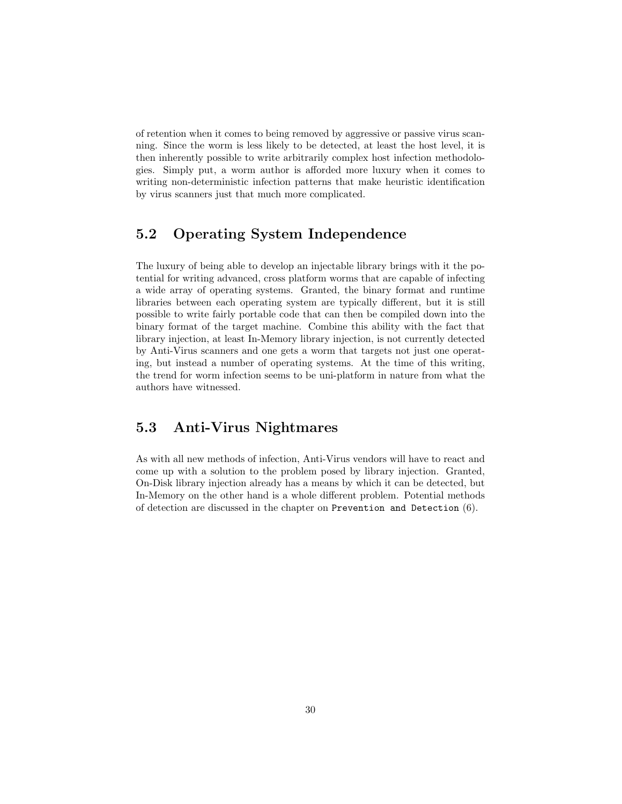of retention when it comes to being removed by aggressive or passive virus scanning. Since the worm is less likely to be detected, at least the host level, it is then inherently possible to write arbitrarily complex host infection methodologies. Simply put, a worm author is afforded more luxury when it comes to writing non-deterministic infection patterns that make heuristic identification by virus scanners just that much more complicated.

## <span id="page-30-0"></span>5.2 Operating System Independence

The luxury of being able to develop an injectable library brings with it the potential for writing advanced, cross platform worms that are capable of infecting a wide array of operating systems. Granted, the binary format and runtime libraries between each operating system are typically different, but it is still possible to write fairly portable code that can then be compiled down into the binary format of the target machine. Combine this ability with the fact that library injection, at least In-Memory library injection, is not currently detected by Anti-Virus scanners and one gets a worm that targets not just one operating, but instead a number of operating systems. At the time of this writing, the trend for worm infection seems to be uni-platform in nature from what the authors have witnessed.

### <span id="page-30-1"></span>5.3 Anti-Virus Nightmares

As with all new methods of infection, Anti-Virus vendors will have to react and come up with a solution to the problem posed by library injection. Granted, On-Disk library injection already has a means by which it can be detected, but In-Memory on the other hand is a whole different problem. Potential methods of detection are discussed in the chapter on Prevention and Detection [\(6\)](#page-31-0).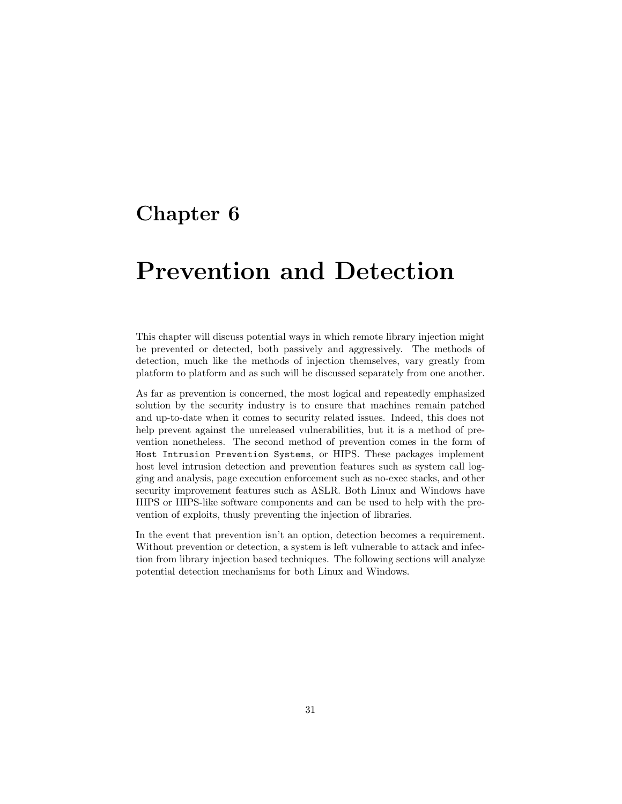## <span id="page-31-0"></span>Chapter 6

## Prevention and Detection

This chapter will discuss potential ways in which remote library injection might be prevented or detected, both passively and aggressively. The methods of detection, much like the methods of injection themselves, vary greatly from platform to platform and as such will be discussed separately from one another.

As far as prevention is concerned, the most logical and repeatedly emphasized solution by the security industry is to ensure that machines remain patched and up-to-date when it comes to security related issues. Indeed, this does not help prevent against the unreleased vulnerabilities, but it is a method of prevention nonetheless. The second method of prevention comes in the form of Host Intrusion Prevention Systems, or HIPS. These packages implement host level intrusion detection and prevention features such as system call logging and analysis, page execution enforcement such as no-exec stacks, and other security improvement features such as ASLR. Both Linux and Windows have HIPS or HIPS-like software components and can be used to help with the prevention of exploits, thusly preventing the injection of libraries.

In the event that prevention isn't an option, detection becomes a requirement. Without prevention or detection, a system is left vulnerable to attack and infection from library injection based techniques. The following sections will analyze potential detection mechanisms for both Linux and Windows.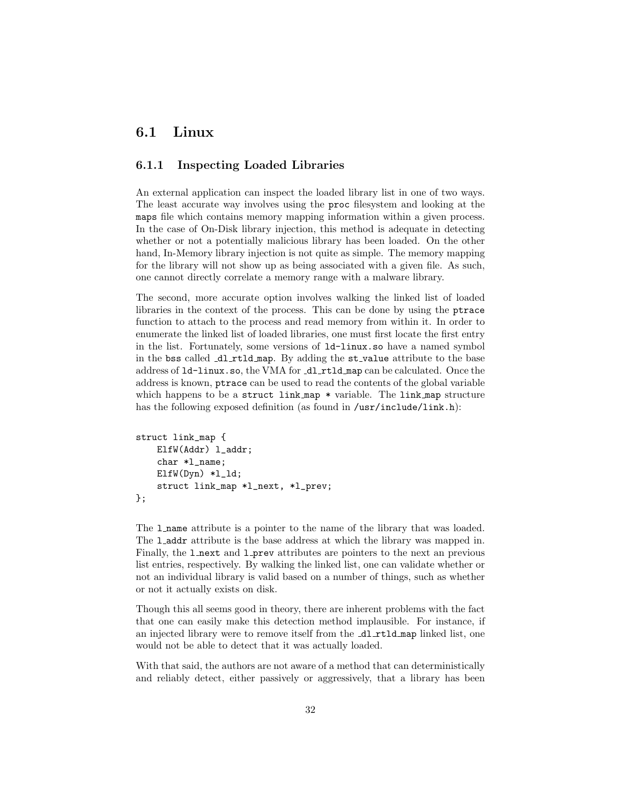### <span id="page-32-0"></span>6.1 Linux

#### <span id="page-32-1"></span>6.1.1 Inspecting Loaded Libraries

An external application can inspect the loaded library list in one of two ways. The least accurate way involves using the proc filesystem and looking at the maps file which contains memory mapping information within a given process. In the case of On-Disk library injection, this method is adequate in detecting whether or not a potentially malicious library has been loaded. On the other hand, In-Memory library injection is not quite as simple. The memory mapping for the library will not show up as being associated with a given file. As such, one cannot directly correlate a memory range with a malware library.

The second, more accurate option involves walking the linked list of loaded libraries in the context of the process. This can be done by using the ptrace function to attach to the process and read memory from within it. In order to enumerate the linked list of loaded libraries, one must first locate the first entry in the list. Fortunately, some versions of ld-linux.so have a named symbol in the bss called dl rtld map. By adding the st value attribute to the base address of  $1d$ -linux.so, the VMA for  $d1$  rtld map can be calculated. Once the address is known, ptrace can be used to read the contents of the global variable which happens to be a struct link map \* variable. The link map structure has the following exposed definition (as found in /usr/include/link.h):

```
struct link_map {
    ElfW(Addr) l_addr;
    char *l_name;
    ElfW(Dyn) *l_ld;
    struct link_map *l_next, *l_prev;
};
```
The l name attribute is a pointer to the name of the library that was loaded. The **l** addr attribute is the base address at which the library was mapped in. Finally, the **l** next and **l** prev attributes are pointers to the next an previous list entries, respectively. By walking the linked list, one can validate whether or not an individual library is valid based on a number of things, such as whether or not it actually exists on disk.

Though this all seems good in theory, there are inherent problems with the fact that one can easily make this detection method implausible. For instance, if an injected library were to remove itself from the **\_dl\_rtld\_map** linked list, one would not be able to detect that it was actually loaded.

With that said, the authors are not aware of a method that can deterministically and reliably detect, either passively or aggressively, that a library has been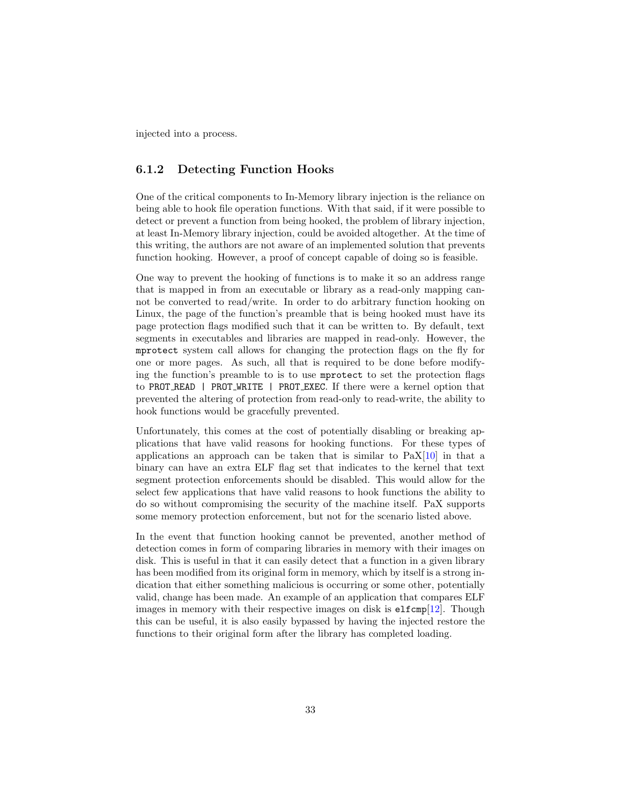injected into a process.

#### <span id="page-33-0"></span>6.1.2 Detecting Function Hooks

One of the critical components to In-Memory library injection is the reliance on being able to hook file operation functions. With that said, if it were possible to detect or prevent a function from being hooked, the problem of library injection, at least In-Memory library injection, could be avoided altogether. At the time of this writing, the authors are not aware of an implemented solution that prevents function hooking. However, a proof of concept capable of doing so is feasible.

One way to prevent the hooking of functions is to make it so an address range that is mapped in from an executable or library as a read-only mapping cannot be converted to read/write. In order to do arbitrary function hooking on Linux, the page of the function's preamble that is being hooked must have its page protection flags modified such that it can be written to. By default, text segments in executables and libraries are mapped in read-only. However, the mprotect system call allows for changing the protection flags on the fly for one or more pages. As such, all that is required to be done before modifying the function's preamble to is to use mprotect to set the protection flags to PROT READ | PROT WRITE | PROT EXEC. If there were a kernel option that prevented the altering of protection from read-only to read-write, the ability to hook functions would be gracefully prevented.

Unfortunately, this comes at the cost of potentially disabling or breaking applications that have valid reasons for hooking functions. For these types of applications an approach can be taken that is similar to  $PaX[10]$  $PaX[10]$  in that a binary can have an extra ELF flag set that indicates to the kernel that text segment protection enforcements should be disabled. This would allow for the select few applications that have valid reasons to hook functions the ability to do so without compromising the security of the machine itself. PaX supports some memory protection enforcement, but not for the scenario listed above.

In the event that function hooking cannot be prevented, another method of detection comes in form of comparing libraries in memory with their images on disk. This is useful in that it can easily detect that a function in a given library has been modified from its original form in memory, which by itself is a strong indication that either something malicious is occurring or some other, potentially valid, change has been made. An example of an application that compares ELF images in memory with their respective images on disk is  $e1fcmp[12]$  $e1fcmp[12]$ . Though this can be useful, it is also easily bypassed by having the injected restore the functions to their original form after the library has completed loading.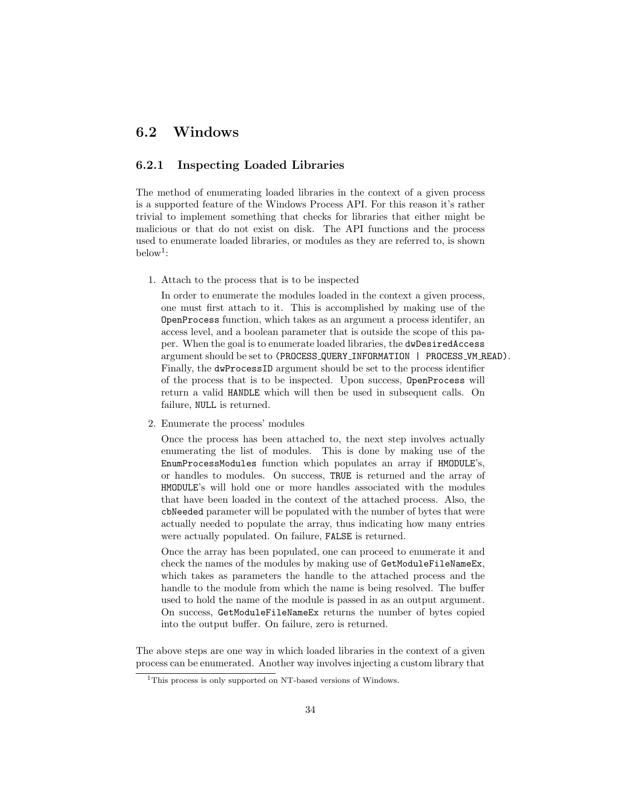### <span id="page-34-0"></span>6.2 Windows

#### <span id="page-34-1"></span>6.2.1 Inspecting Loaded Libraries

The method of enumerating loaded libraries in the context of a given process is a supported feature of the Windows Process API. For this reason it's rather trivial to implement something that checks for libraries that either might be malicious or that do not exist on disk. The API functions and the process used to enumerate loaded libraries, or modules as they are referred to, is shown  $below<sup>1</sup>:$  $below<sup>1</sup>:$  $below<sup>1</sup>:$ 

1. Attach to the process that is to be inspected

In order to enumerate the modules loaded in the context a given process, one must first attach to it. This is accomplished by making use of the OpenProcess function, which takes as an argument a process identifer, an access level, and a boolean parameter that is outside the scope of this paper. When the goal is to enumerate loaded libraries, the dwDesiredAccess argument should be set to (PROCESS QUERY INFORMATION | PROCESS VM READ). Finally, the dwProcessID argument should be set to the process identifier of the process that is to be inspected. Upon success, OpenProcess will return a valid HANDLE which will then be used in subsequent calls. On failure, NULL is returned.

2. Enumerate the process' modules

Once the process has been attached to, the next step involves actually enumerating the list of modules. This is done by making use of the EnumProcessModules function which populates an array if HMODULE's, or handles to modules. On success, TRUE is returned and the array of HMODULE's will hold one or more handles associated with the modules that have been loaded in the context of the attached process. Also, the cbNeeded parameter will be populated with the number of bytes that were actually needed to populate the array, thus indicating how many entries were actually populated. On failure, FALSE is returned.

Once the array has been populated, one can proceed to enumerate it and check the names of the modules by making use of GetModuleFileNameEx, which takes as parameters the handle to the attached process and the handle to the module from which the name is being resolved. The buffer used to hold the name of the module is passed in as an output argument. On success, GetModuleFileNameEx returns the number of bytes copied into the output buffer. On failure, zero is returned.

The above steps are one way in which loaded libraries in the context of a given process can be enumerated. Another way involves injecting a custom library that

<span id="page-34-2"></span><sup>&</sup>lt;sup>1</sup>This process is only supported on NT-based versions of Windows.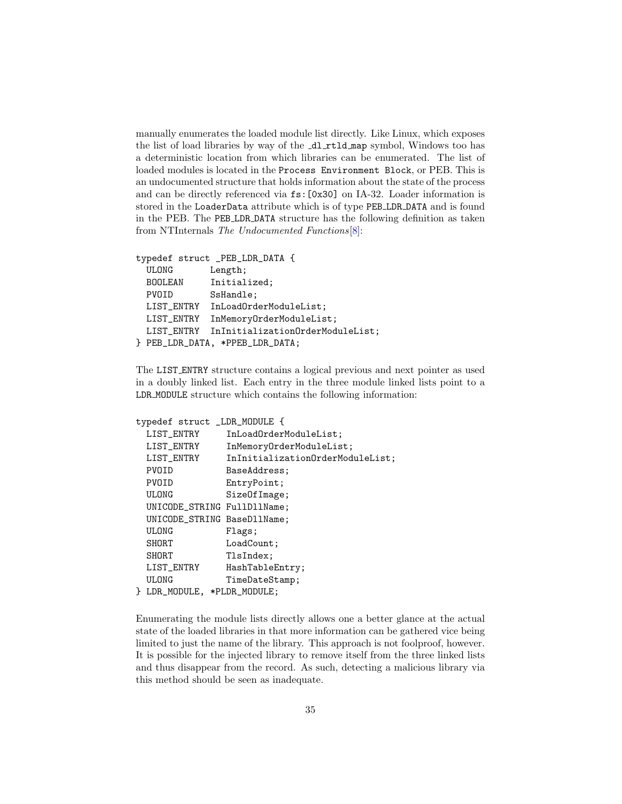manually enumerates the loaded module list directly. Like Linux, which exposes the list of load libraries by way of the  $d1$ rtld map symbol, Windows too has a deterministic location from which libraries can be enumerated. The list of loaded modules is located in the Process Environment Block, or PEB. This is an undocumented structure that holds information about the state of the process and can be directly referenced via fs:[0x30] on IA-32. Loader information is stored in the LoaderData attribute which is of type PEB LDR DATA and is found in the PEB. The PEB LDR DATA structure has the following definition as taken from NTInternals The Undocumented Functions[\[8\]](#page-38-7):

```
typedef struct _PEB_LDR_DATA {
 ULONG Length;
 BOOLEAN Initialized;
 PVOID SsHandle;
 LIST_ENTRY InLoadOrderModuleList;
 LIST_ENTRY InMemoryOrderModuleList;
 LIST_ENTRY InInitializationOrderModuleList;
} PEB_LDR_DATA, *PPEB_LDR_DATA;
```
The LIST ENTRY structure contains a logical previous and next pointer as used in a doubly linked list. Each entry in the three module linked lists point to a LDR MODULE structure which contains the following information:

```
typedef struct _LDR_MODULE {
 LIST_ENTRY InLoadOrderModuleList;
 LIST_ENTRY InMemoryOrderModuleList;
 LIST_ENTRY InInitializationOrderModuleList;
 PVOID BaseAddress;
 PVOID EntryPoint;
 ULONG SizeOfImage;
 UNICODE_STRING FullDllName;
 UNICODE_STRING BaseDllName;
 ULONG Flags;
 SHORT LoadCount;
 SHORT TlsIndex;
 LIST_ENTRY HashTableEntry;
 ULONG TimeDateStamp;
} LDR_MODULE, *PLDR_MODULE;
```
Enumerating the module lists directly allows one a better glance at the actual state of the loaded libraries in that more information can be gathered vice being limited to just the name of the library. This approach is not foolproof, however. It is possible for the injected library to remove itself from the three linked lists and thus disappear from the record. As such, detecting a malicious library via this method should be seen as inadequate.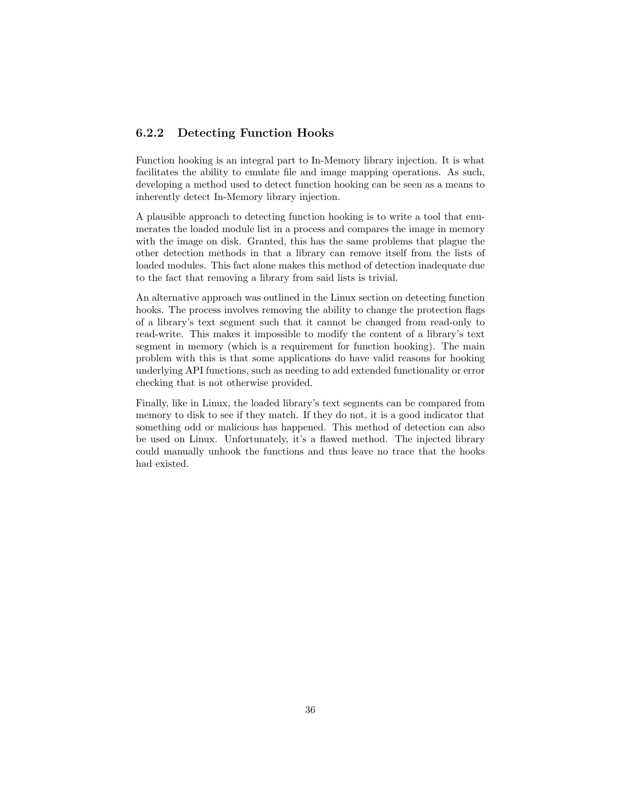### <span id="page-36-0"></span>6.2.2 Detecting Function Hooks

Function hooking is an integral part to In-Memory library injection. It is what facilitates the ability to emulate file and image mapping operations. As such, developing a method used to detect function hooking can be seen as a means to inherently detect In-Memory library injection.

A plausible approach to detecting function hooking is to write a tool that enumerates the loaded module list in a process and compares the image in memory with the image on disk. Granted, this has the same problems that plague the other detection methods in that a library can remove itself from the lists of loaded modules. This fact alone makes this method of detection inadequate due to the fact that removing a library from said lists is trivial.

An alternative approach was outlined in the Linux section on detecting function hooks. The process involves removing the ability to change the protection flags of a library's text segment such that it cannot be changed from read-only to read-write. This makes it impossible to modify the content of a library's text segment in memory (which is a requirement for function hooking). The main problem with this is that some applications do have valid reasons for hooking underlying API functions, such as needing to add extended functionality or error checking that is not otherwise provided.

Finally, like in Linux, the loaded library's text segments can be compared from memory to disk to see if they match. If they do not, it is a good indicator that something odd or malicious has happened. This method of detection can also be used on Linux. Unfortunately, it's a flawed method. The injected library could manually unhook the functions and thus leave no trace that the hooks had existed.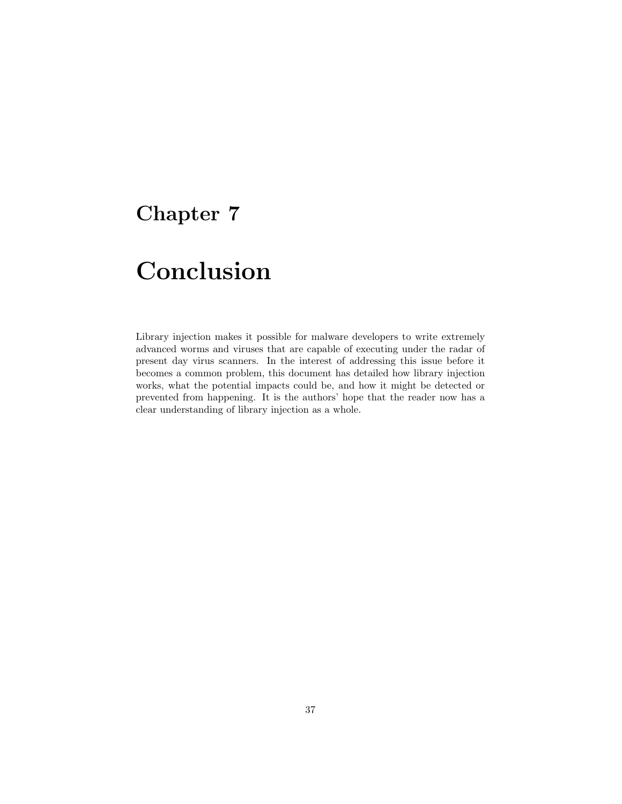## <span id="page-37-0"></span>Chapter 7

# Conclusion

Library injection makes it possible for malware developers to write extremely advanced worms and viruses that are capable of executing under the radar of present day virus scanners. In the interest of addressing this issue before it becomes a common problem, this document has detailed how library injection works, what the potential impacts could be, and how it might be detected or prevented from happening. It is the authors' hope that the reader now has a clear understanding of library injection as a whole.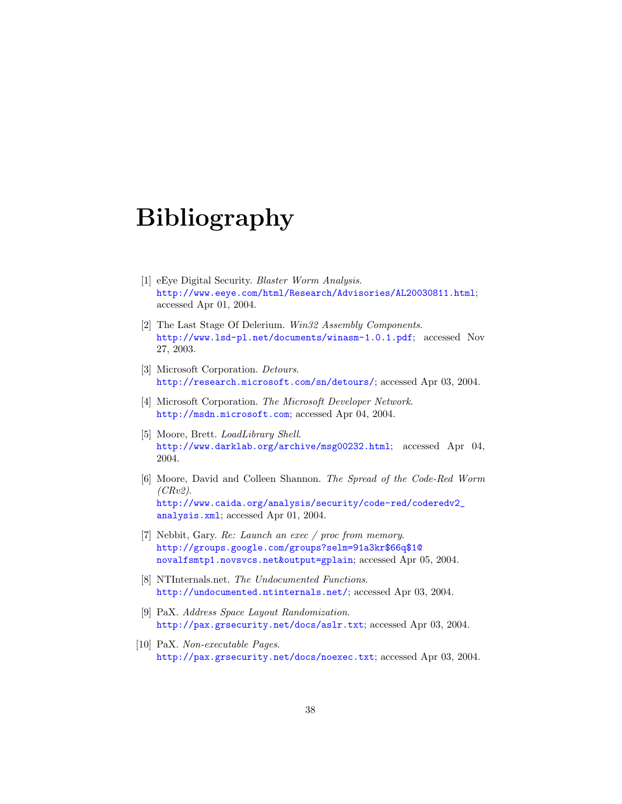# Bibliography

- <span id="page-38-0"></span>[1] eEye Digital Security. Blaster Worm Analysis. <http://www.eeye.com/html/Research/Advisories/AL20030811.html>; accessed Apr 01, 2004.
- <span id="page-38-2"></span>[2] The Last Stage Of Delerium. Win32 Assembly Components. <http://www.lsd-pl.net/documents/winasm-1.0.1.pdf>; accessed Nov 27, 2003.
- <span id="page-38-4"></span>[3] Microsoft Corporation. Detours. <http://research.microsoft.com/sn/detours/>; accessed Apr 03, 2004.
- <span id="page-38-5"></span>[4] Microsoft Corporation. The Microsoft Developer Network. <http://msdn.microsoft.com>; accessed Apr 04, 2004.
- <span id="page-38-3"></span>[5] Moore, Brett. LoadLibrary Shell. <http://www.darklab.org/archive/msg00232.html>; accessed Apr 04, 2004.
- [6] Moore, David and Colleen Shannon. The Spread of the Code-Red Worm  $(CRv2).$ [http://www.caida.org/analysis/security/code-red/coderedv2\\_](http://www.caida.org/analysis/security/code-red/coderedv2_analysis.xml) [analysis.xml](http://www.caida.org/analysis/security/code-red/coderedv2_analysis.xml); accessed Apr 01, 2004.
- <span id="page-38-6"></span>[7] Nebbit, Gary. Re: Launch an exec / proc from memory. [http://groups.google.com/groups?selm=91a3kr\\$66q\\$1@](http://groups.google.com/groups?selm=91a3kr$66q$1@novalfsmtp1.novsvcs.net&output=gplain) [novalfsmtp1.novsvcs.net&output=gplain](http://groups.google.com/groups?selm=91a3kr$66q$1@novalfsmtp1.novsvcs.net&output=gplain); accessed Apr 05, 2004.
- <span id="page-38-7"></span>[8] NTInternals.net. The Undocumented Functions. <http://undocumented.ntinternals.net/>; accessed Apr 03, 2004.
- <span id="page-38-1"></span>[9] PaX. Address Space Layout Randomization. <http://pax.grsecurity.net/docs/aslr.txt>; accessed Apr 03, 2004.
- <span id="page-38-8"></span>[10] PaX. Non-executable Pages. <http://pax.grsecurity.net/docs/noexec.txt>; accessed Apr 03, 2004.